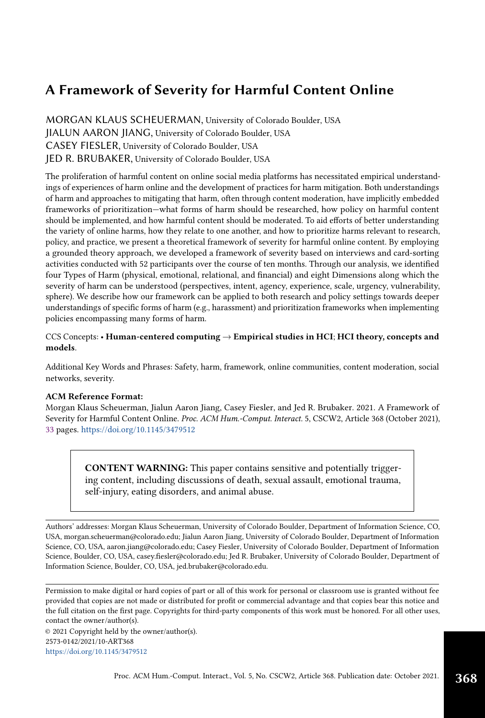# A Framework of Severity for Harmful Content Online

MORGAN KLAUS SCHEUERMAN, University of Colorado Boulder, USA JIALUN AARON JIANG, University of Colorado Boulder, USA CASEY FIESLER, University of Colorado Boulder, USA JED R. BRUBAKER, University of Colorado Boulder, USA

The proliferation of harmful content on online social media platforms has necessitated empirical understandings of experiences of harm online and the development of practices for harm mitigation. Both understandings of harm and approaches to mitigating that harm, often through content moderation, have implicitly embedded frameworks of prioritization—what forms of harm should be researched, how policy on harmful content should be implemented, and how harmful content should be moderated. To aid efforts of better understanding the variety of online harms, how they relate to one another, and how to prioritize harms relevant to research, policy, and practice, we present a theoretical framework of severity for harmful online content. By employing a grounded theory approach, we developed a framework of severity based on interviews and card-sorting activities conducted with 52 participants over the course of ten months. Through our analysis, we identified four Types of Harm (physical, emotional, relational, and financial) and eight Dimensions along which the severity of harm can be understood (perspectives, intent, agency, experience, scale, urgency, vulnerability, sphere). We describe how our framework can be applied to both research and policy settings towards deeper understandings of specific forms of harm (e.g., harassment) and prioritization frameworks when implementing policies encompassing many forms of harm.

CCS Concepts: • Human-centered computing  $\rightarrow$  Empirical studies in HCI; HCI theory, concepts and models.

Additional Key Words and Phrases: Safety, harm, framework, online communities, content moderation, social networks, severity.

#### ACM Reference Format:

Morgan Klaus Scheuerman, Jialun Aaron Jiang, Casey Fiesler, and Jed R. Brubaker. 2021. A Framework of Severity for Harmful Content Online. Proc. ACM Hum.-Comput. Interact. 5, CSCW2, Article 368 (October 2021), [33](#page-32-0) pages. <https://doi.org/10.1145/3479512>

CONTENT WARNING: This paper contains sensitive and potentially triggering content, including discussions of death, sexual assault, emotional trauma, self-injury, eating disorders, and animal abuse.

Authors' addresses: Morgan Klaus Scheuerman, University of Colorado Boulder, Department of Information Science, CO, USA, morgan.scheuerman@colorado.edu; Jialun Aaron Jiang, University of Colorado Boulder, Department of Information Science, CO, USA, aaron.jiang@colorado.edu; Casey Fiesler, University of Colorado Boulder, Department of Information Science, Boulder, CO, USA, casey.fiesler@colorado.edu; Jed R. Brubaker, University of Colorado Boulder, Department of Information Science, Boulder, CO, USA, jed.brubaker@colorado.edu.

Permission to make digital or hard copies of part or all of this work for personal or classroom use is granted without fee provided that copies are not made or distributed for profit or commercial advantage and that copies bear this notice and the full citation on the first page. Copyrights for third-party components of this work must be honored. For all other uses, contact the owner/author(s).

© 2021 Copyright held by the owner/author(s). 2573-0142/2021/10-ART368 <https://doi.org/10.1145/3479512>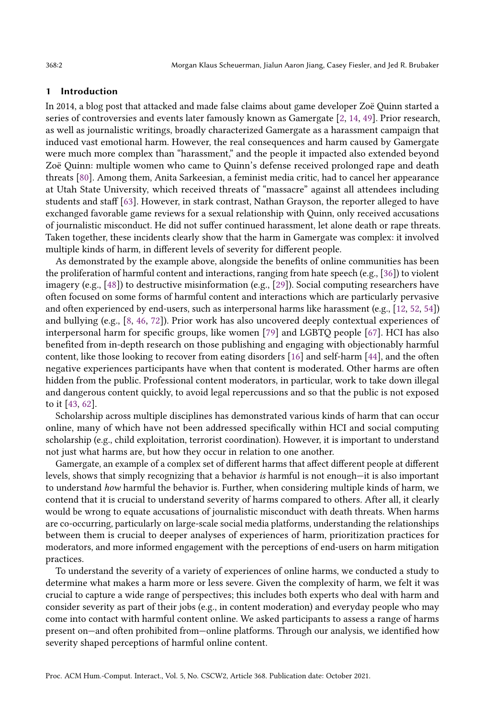#### 1 Introduction

In 2014, a blog post that attacked and made false claims about game developer Zoë Quinn started a series of controversies and events later famously known as Gamergate [\[2,](#page-29-0) [14,](#page-29-1) [49\]](#page-31-0). Prior research, as well as journalistic writings, broadly characterized Gamergate as a harassment campaign that induced vast emotional harm. However, the real consequences and harm caused by Gamergate were much more complex than "harassment," and the people it impacted also extended beyond Zoë Quinn: multiple women who came to Quinn's defense received prolonged rape and death threats [\[80\]](#page-32-1). Among them, Anita Sarkeesian, a feminist media critic, had to cancel her appearance at Utah State University, which received threats of "massacre" against all attendees including students and staff [\[63\]](#page-31-1). However, in stark contrast, Nathan Grayson, the reporter alleged to have exchanged favorable game reviews for a sexual relationship with Quinn, only received accusations of journalistic misconduct. He did not suffer continued harassment, let alone death or rape threats. Taken together, these incidents clearly show that the harm in Gamergate was complex: it involved multiple kinds of harm, in different levels of severity for different people.

As demonstrated by the example above, alongside the benefits of online communities has been the proliferation of harmful content and interactions, ranging from hate speech (e.g., [\[36\]](#page-30-0)) to violent imagery (e.g., [\[48\]](#page-31-2)) to destructive misinformation (e.g., [\[29\]](#page-30-1)). Social computing researchers have often focused on some forms of harmful content and interactions which are particularly pervasive and often experienced by end-users, such as interpersonal harms like harassment (e.g., [\[12,](#page-29-2) [52,](#page-31-3) [54\]](#page-31-4)) and bullying (e.g., [\[8,](#page-29-3) [46,](#page-31-5) [72\]](#page-32-2)). Prior work has also uncovered deeply contextual experiences of interpersonal harm for specific groups, like women [\[79\]](#page-32-3) and LGBTQ people [\[67\]](#page-32-4). HCI has also benefited from in-depth research on those publishing and engaging with objectionably harmful content, like those looking to recover from eating disorders [\[16\]](#page-29-4) and self-harm [\[44\]](#page-31-6), and the often negative experiences participants have when that content is moderated. Other harms are often hidden from the public. Professional content moderators, in particular, work to take down illegal and dangerous content quickly, to avoid legal repercussions and so that the public is not exposed to it [\[43,](#page-31-7) [62\]](#page-31-8).

Scholarship across multiple disciplines has demonstrated various kinds of harm that can occur online, many of which have not been addressed specifically within HCI and social computing scholarship (e.g., child exploitation, terrorist coordination). However, it is important to understand not just what harms are, but how they occur in relation to one another.

Gamergate, an example of a complex set of different harms that affect different people at different levels, shows that simply recognizing that a behavior is harmful is not enough—it is also important to understand how harmful the behavior is. Further, when considering multiple kinds of harm, we contend that it is crucial to understand severity of harms compared to others. After all, it clearly would be wrong to equate accusations of journalistic misconduct with death threats. When harms are co-occurring, particularly on large-scale social media platforms, understanding the relationships between them is crucial to deeper analyses of experiences of harm, prioritization practices for moderators, and more informed engagement with the perceptions of end-users on harm mitigation practices.

To understand the severity of a variety of experiences of online harms, we conducted a study to determine what makes a harm more or less severe. Given the complexity of harm, we felt it was crucial to capture a wide range of perspectives; this includes both experts who deal with harm and consider severity as part of their jobs (e.g., in content moderation) and everyday people who may come into contact with harmful content online. We asked participants to assess a range of harms present on—and often prohibited from—online platforms. Through our analysis, we identified how severity shaped perceptions of harmful online content.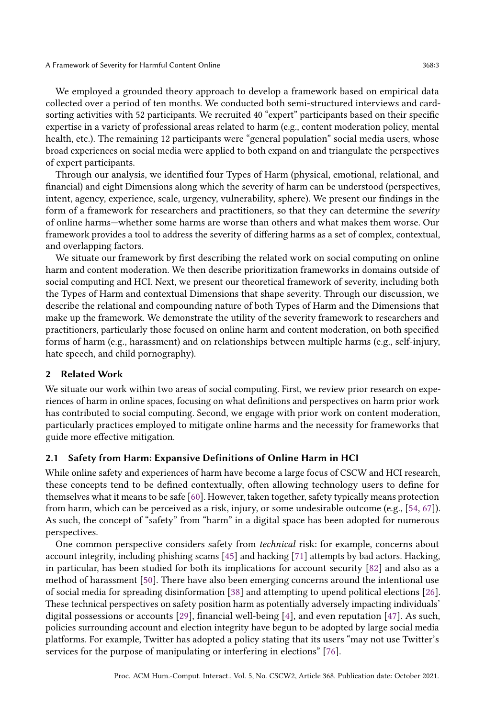#### A Framework of Severity for Harmful Content Online 368:3

We employed a grounded theory approach to develop a framework based on empirical data collected over a period of ten months. We conducted both semi-structured interviews and cardsorting activities with 52 participants. We recruited 40 "expert" participants based on their specific expertise in a variety of professional areas related to harm (e.g., content moderation policy, mental health, etc.). The remaining 12 participants were "general population" social media users, whose broad experiences on social media were applied to both expand on and triangulate the perspectives of expert participants.

Through our analysis, we identified four Types of Harm (physical, emotional, relational, and financial) and eight Dimensions along which the severity of harm can be understood (perspectives, intent, agency, experience, scale, urgency, vulnerability, sphere). We present our findings in the form of a framework for researchers and practitioners, so that they can determine the severity of online harms—whether some harms are worse than others and what makes them worse. Our framework provides a tool to address the severity of differing harms as a set of complex, contextual, and overlapping factors.

We situate our framework by first describing the related work on social computing on online harm and content moderation. We then describe prioritization frameworks in domains outside of social computing and HCI. Next, we present our theoretical framework of severity, including both the Types of Harm and contextual Dimensions that shape severity. Through our discussion, we describe the relational and compounding nature of both Types of Harm and the Dimensions that make up the framework. We demonstrate the utility of the severity framework to researchers and practitioners, particularly those focused on online harm and content moderation, on both specified forms of harm (e.g., harassment) and on relationships between multiple harms (e.g., self-injury, hate speech, and child pornography).

## 2 Related Work

We situate our work within two areas of social computing. First, we review prior research on experiences of harm in online spaces, focusing on what definitions and perspectives on harm prior work has contributed to social computing. Second, we engage with prior work on content moderation, particularly practices employed to mitigate online harms and the necessity for frameworks that guide more effective mitigation.

## 2.1 Safety from Harm: Expansive Definitions of Online Harm in HCI

While online safety and experiences of harm have become a large focus of CSCW and HCI research, these concepts tend to be defined contextually, often allowing technology users to define for themselves what it means to be safe [\[60\]](#page-31-9). However, taken together, safety typically means protection from harm, which can be perceived as a risk, injury, or some undesirable outcome (e.g., [\[54,](#page-31-4) [67\]](#page-32-4)). As such, the concept of "safety" from "harm" in a digital space has been adopted for numerous perspectives.

One common perspective considers safety from technical risk: for example, concerns about account integrity, including phishing scams [\[45\]](#page-31-10) and hacking [\[71\]](#page-32-5) attempts by bad actors. Hacking, in particular, has been studied for both its implications for account security [\[82\]](#page-32-6) and also as a method of harassment [\[50\]](#page-31-11). There have also been emerging concerns around the intentional use of social media for spreading disinformation [\[38\]](#page-30-2) and attempting to upend political elections [\[26\]](#page-30-3). These technical perspectives on safety position harm as potentially adversely impacting individuals' digital possessions or accounts [\[29\]](#page-30-1), financial well-being [\[4\]](#page-29-5), and even reputation [\[47\]](#page-31-12). As such, policies surrounding account and election integrity have begun to be adopted by large social media platforms. For example, Twitter has adopted a policy stating that its users "may not use Twitter's services for the purpose of manipulating or interfering in elections" [\[76\]](#page-32-7).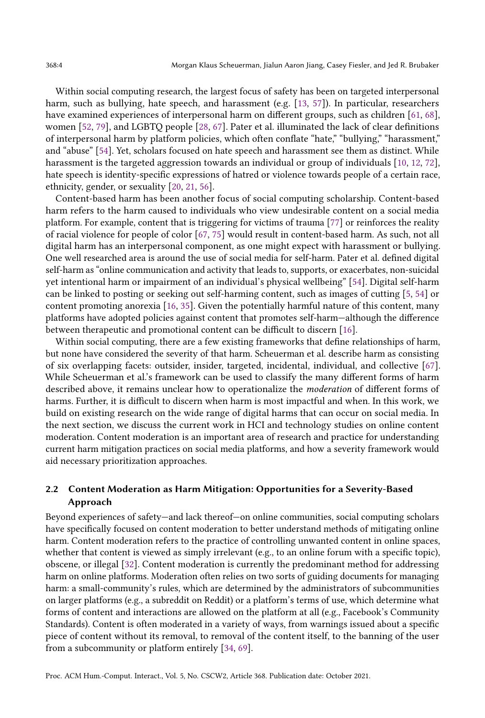Within social computing research, the largest focus of safety has been on targeted interpersonal harm, such as bullying, hate speech, and harassment (e.g. [\[13,](#page-29-6) [57\]](#page-31-13)). In particular, researchers have examined experiences of interpersonal harm on different groups, such as children [\[61,](#page-31-14) [68\]](#page-32-8), women [\[52,](#page-31-3) [79\]](#page-32-3), and LGBTQ people [\[28,](#page-30-4) [67\]](#page-32-4). Pater et al. illuminated the lack of clear definitions of interpersonal harm by platform policies, which often conflate "hate," "bullying," "harassment," and "abuse" [\[54\]](#page-31-4). Yet, scholars focused on hate speech and harassment see them as distinct. While harassment is the targeted aggression towards an individual or group of individuals [\[10,](#page-29-7) [12,](#page-29-2) [72\]](#page-32-2), hate speech is identity-specific expressions of hatred or violence towards people of a certain race, ethnicity, gender, or sexuality [\[20,](#page-29-8) [21,](#page-29-9) [56\]](#page-31-15).

Content-based harm has been another focus of social computing scholarship. Content-based harm refers to the harm caused to individuals who view undesirable content on a social media platform. For example, content that is triggering for victims of trauma [\[77\]](#page-32-9) or reinforces the reality of racial violence for people of color [\[67,](#page-32-4) [75\]](#page-32-10) would result in content-based harm. As such, not all digital harm has an interpersonal component, as one might expect with harassment or bullying. One well researched area is around the use of social media for self-harm. Pater et al. defined digital self-harm as "online communication and activity that leads to, supports, or exacerbates, non-suicidal yet intentional harm or impairment of an individual's physical wellbeing" [\[54\]](#page-31-4). Digital self-harm can be linked to posting or seeking out self-harming content, such as images of cutting [\[5,](#page-29-10) [54\]](#page-31-4) or content promoting anorexia [\[16,](#page-29-4) [35\]](#page-30-5). Given the potentially harmful nature of this content, many platforms have adopted policies against content that promotes self-harm—although the difference between therapeutic and promotional content can be difficult to discern [\[16\]](#page-29-4).

Within social computing, there are a few existing frameworks that define relationships of harm, but none have considered the severity of that harm. Scheuerman et al. describe harm as consisting of six overlapping facets: outsider, insider, targeted, incidental, individual, and collective [\[67\]](#page-32-4). While Scheuerman et al.'s framework can be used to classify the many different forms of harm described above, it remains unclear how to operationalize the moderation of different forms of harms. Further, it is difficult to discern when harm is most impactful and when. In this work, we build on existing research on the wide range of digital harms that can occur on social media. In the next section, we discuss the current work in HCI and technology studies on online content moderation. Content moderation is an important area of research and practice for understanding current harm mitigation practices on social media platforms, and how a severity framework would aid necessary prioritization approaches.

# 2.2 Content Moderation as Harm Mitigation: Opportunities for a Severity-Based Approach

Beyond experiences of safety—and lack thereof—on online communities, social computing scholars have specifically focused on content moderation to better understand methods of mitigating online harm. Content moderation refers to the practice of controlling unwanted content in online spaces, whether that content is viewed as simply irrelevant (e.g., to an online forum with a specific topic), obscene, or illegal [\[32\]](#page-30-6). Content moderation is currently the predominant method for addressing harm on online platforms. Moderation often relies on two sorts of guiding documents for managing harm: a small-community's rules, which are determined by the administrators of subcommunities on larger platforms (e.g., a subreddit on Reddit) or a platform's terms of use, which determine what forms of content and interactions are allowed on the platform at all (e.g., Facebook's Community Standards). Content is often moderated in a variety of ways, from warnings issued about a specific piece of content without its removal, to removal of the content itself, to the banning of the user from a subcommunity or platform entirely [\[34,](#page-30-7) [69\]](#page-32-11).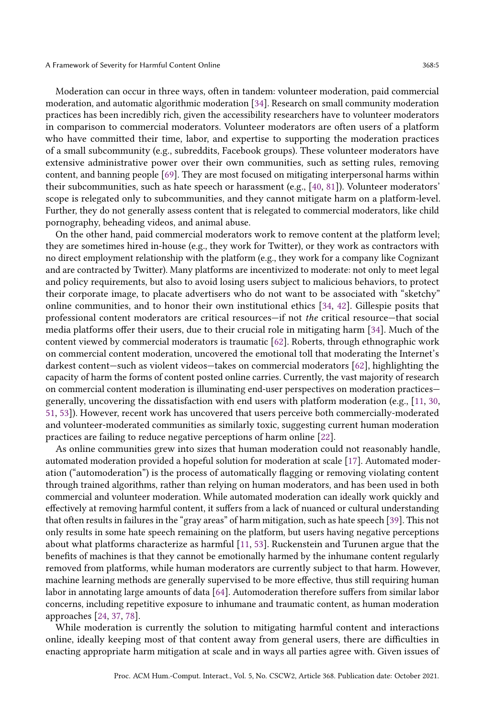Moderation can occur in three ways, often in tandem: volunteer moderation, paid commercial moderation, and automatic algorithmic moderation [\[34\]](#page-30-7). Research on small community moderation practices has been incredibly rich, given the accessibility researchers have to volunteer moderators in comparison to commercial moderators. Volunteer moderators are often users of a platform who have committed their time, labor, and expertise to supporting the moderation practices of a small subcommunity (e.g., subreddits, Facebook groups). These volunteer moderators have extensive administrative power over their own communities, such as setting rules, removing content, and banning people [\[69\]](#page-32-11). They are most focused on mitigating interpersonal harms within their subcommunities, such as hate speech or harassment (e.g., [\[40,](#page-30-8) [81\]](#page-32-12)). Volunteer moderators' scope is relegated only to subcommunities, and they cannot mitigate harm on a platform-level. Further, they do not generally assess content that is relegated to commercial moderators, like child pornography, beheading videos, and animal abuse.

On the other hand, paid commercial moderators work to remove content at the platform level; they are sometimes hired in-house (e.g., they work for Twitter), or they work as contractors with no direct employment relationship with the platform (e.g., they work for a company like Cognizant and are contracted by Twitter). Many platforms are incentivized to moderate: not only to meet legal and policy requirements, but also to avoid losing users subject to malicious behaviors, to protect their corporate image, to placate advertisers who do not want to be associated with "sketchy" online communities, and to honor their own institutional ethics [\[34,](#page-30-7) [42\]](#page-30-9). Gillespie posits that professional content moderators are critical resources—if not the critical resource—that social media platforms offer their users, due to their crucial role in mitigating harm [\[34\]](#page-30-7). Much of the content viewed by commercial moderators is traumatic [\[62\]](#page-31-8). Roberts, through ethnographic work on commercial content moderation, uncovered the emotional toll that moderating the Internet's darkest content—such as violent videos—takes on commercial moderators [\[62\]](#page-31-8), highlighting the capacity of harm the forms of content posted online carries. Currently, the vast majority of research on commercial content moderation is illuminating end-user perspectives on moderation practices generally, uncovering the dissatisfaction with end users with platform moderation (e.g., [\[11,](#page-29-11) [30,](#page-30-10) [51,](#page-31-16) [53\]](#page-31-17)). However, recent work has uncovered that users perceive both commercially-moderated and volunteer-moderated communities as similarly toxic, suggesting current human moderation practices are failing to reduce negative perceptions of harm online [\[22\]](#page-30-11).

As online communities grew into sizes that human moderation could not reasonably handle, automated moderation provided a hopeful solution for moderation at scale [\[17\]](#page-29-12). Automated moderation ("automoderation") is the process of automatically flagging or removing violating content through trained algorithms, rather than relying on human moderators, and has been used in both commercial and volunteer moderation. While automated moderation can ideally work quickly and effectively at removing harmful content, it suffers from a lack of nuanced or cultural understanding that often results in failures in the "gray areas" of harm mitigation, such as hate speech [\[39\]](#page-30-12). This not only results in some hate speech remaining on the platform, but users having negative perceptions about what platforms characterize as harmful [\[11,](#page-29-11) [53\]](#page-31-17). Ruckenstein and Turunen argue that the benefits of machines is that they cannot be emotionally harmed by the inhumane content regularly removed from platforms, while human moderators are currently subject to that harm. However, machine learning methods are generally supervised to be more effective, thus still requiring human labor in annotating large amounts of data [\[64\]](#page-32-13). Automoderation therefore suffers from similar labor concerns, including repetitive exposure to inhumane and traumatic content, as human moderation approaches [\[24,](#page-30-13) [37,](#page-30-14) [78\]](#page-32-14).

While moderation is currently the solution to mitigating harmful content and interactions online, ideally keeping most of that content away from general users, there are difficulties in enacting appropriate harm mitigation at scale and in ways all parties agree with. Given issues of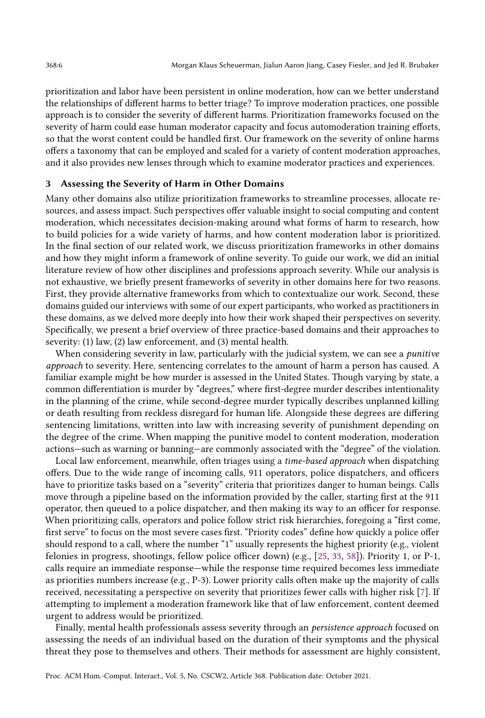prioritization and labor have been persistent in online moderation, how can we better understand the relationships of different harms to better triage? To improve moderation practices, one possible approach is to consider the severity of different harms. Prioritization frameworks focused on the severity of harm could ease human moderator capacity and focus automoderation training efforts, so that the worst content could be handled first. Our framework on the severity of online harms offers a taxonomy that can be employed and scaled for a variety of content moderation approaches, and it also provides new lenses through which to examine moderator practices and experiences.

### <span id="page-5-0"></span>3 Assessing the Severity of Harm in Other Domains

Many other domains also utilize prioritization frameworks to streamline processes, allocate resources, and assess impact. Such perspectives offer valuable insight to social computing and content moderation, which necessitates decision-making around what forms of harm to research, how to build policies for a wide variety of harms, and how content moderation labor is prioritized. In the final section of our related work, we discuss prioritization frameworks in other domains and how they might inform a framework of online severity. To guide our work, we did an initial literature review of how other disciplines and professions approach severity. While our analysis is not exhaustive, we briefly present frameworks of severity in other domains here for two reasons. First, they provide alternative frameworks from which to contextualize our work. Second, these domains guided our interviews with some of our expert participants, who worked as practitioners in these domains, as we delved more deeply into how their work shaped their perspectives on severity. Specifically, we present a brief overview of three practice-based domains and their approaches to severity: (1) law, (2) law enforcement, and (3) mental health.

When considering severity in law, particularly with the judicial system, we can see a *punitive* approach to severity. Here, sentencing correlates to the amount of harm a person has caused. A familiar example might be how murder is assessed in the United States. Though varying by state, a common differentiation is murder by "degrees," where first-degree murder describes intentionality in the planning of the crime, while second-degree murder typically describes unplanned killing or death resulting from reckless disregard for human life. Alongside these degrees are differing sentencing limitations, written into law with increasing severity of punishment depending on the degree of the crime. When mapping the punitive model to content moderation, moderation actions—such as warning or banning—are commonly associated with the "degree" of the violation.

Local law enforcement, meanwhile, often triages using a time-based approach when dispatching offers. Due to the wide range of incoming calls, 911 operators, police dispatchers, and officers have to prioritize tasks based on a "severity" criteria that prioritizes danger to human beings. Calls move through a pipeline based on the information provided by the caller, starting first at the 911 operator, then queued to a police dispatcher, and then making its way to an officer for response. When prioritizing calls, operators and police follow strict risk hierarchies, foregoing a "first come, first serve" to focus on the most severe cases first. "Priority codes" define how quickly a police offer should respond to a call, where the number "1" usually represents the highest priority (e.g., violent felonies in progress, shootings, fellow police officer down) (e.g., [\[25,](#page-30-15) [33,](#page-30-16) [58\]](#page-31-18)). Priority 1, or P-1, calls require an immediate response—while the response time required becomes less immediate as priorities numbers increase (e.g., P-3). Lower priority calls often make up the majority of calls received, necessitating a perspective on severity that prioritizes fewer calls with higher risk [\[7\]](#page-29-13). If attempting to implement a moderation framework like that of law enforcement, content deemed urgent to address would be prioritized.

Finally, mental health professionals assess severity through an *persistence approach* focused on assessing the needs of an individual based on the duration of their symptoms and the physical threat they pose to themselves and others. Their methods for assessment are highly consistent,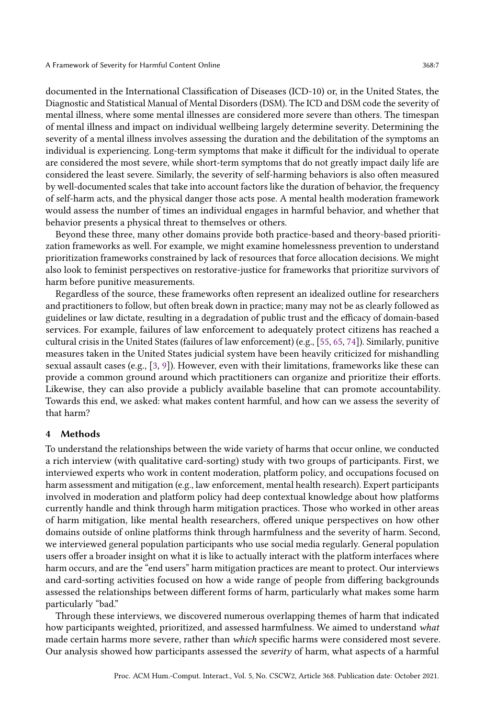documented in the International Classification of Diseases (ICD-10) or, in the United States, the Diagnostic and Statistical Manual of Mental Disorders (DSM). The ICD and DSM code the severity of mental illness, where some mental illnesses are considered more severe than others. The timespan of mental illness and impact on individual wellbeing largely determine severity. Determining the severity of a mental illness involves assessing the duration and the debilitation of the symptoms an individual is experiencing. Long-term symptoms that make it difficult for the individual to operate are considered the most severe, while short-term symptoms that do not greatly impact daily life are considered the least severe. Similarly, the severity of self-harming behaviors is also often measured by well-documented scales that take into account factors like the duration of behavior, the frequency of self-harm acts, and the physical danger those acts pose. A mental health moderation framework would assess the number of times an individual engages in harmful behavior, and whether that behavior presents a physical threat to themselves or others.

Beyond these three, many other domains provide both practice-based and theory-based prioritization frameworks as well. For example, we might examine homelessness prevention to understand prioritization frameworks constrained by lack of resources that force allocation decisions. We might also look to feminist perspectives on restorative-justice for frameworks that prioritize survivors of harm before punitive measurements.

Regardless of the source, these frameworks often represent an idealized outline for researchers and practitioners to follow, but often break down in practice; many may not be as clearly followed as guidelines or law dictate, resulting in a degradation of public trust and the efficacy of domain-based services. For example, failures of law enforcement to adequately protect citizens has reached a cultural crisis in the United States (failures of law enforcement) (e.g., [\[55,](#page-31-19) [65,](#page-32-15) [74\]](#page-32-16)). Similarly, punitive measures taken in the United States judicial system have been heavily criticized for mishandling sexual assault cases (e.g., [\[3,](#page-29-14) [9\]](#page-29-15)). However, even with their limitations, frameworks like these can provide a common ground around which practitioners can organize and prioritize their efforts. Likewise, they can also provide a publicly available baseline that can promote accountability. Towards this end, we asked: what makes content harmful, and how can we assess the severity of that harm?

#### 4 Methods

To understand the relationships between the wide variety of harms that occur online, we conducted a rich interview (with qualitative card-sorting) study with two groups of participants. First, we interviewed experts who work in content moderation, platform policy, and occupations focused on harm assessment and mitigation (e.g., law enforcement, mental health research). Expert participants involved in moderation and platform policy had deep contextual knowledge about how platforms currently handle and think through harm mitigation practices. Those who worked in other areas of harm mitigation, like mental health researchers, offered unique perspectives on how other domains outside of online platforms think through harmfulness and the severity of harm. Second, we interviewed general population participants who use social media regularly. General population users offer a broader insight on what it is like to actually interact with the platform interfaces where harm occurs, and are the "end users" harm mitigation practices are meant to protect. Our interviews and card-sorting activities focused on how a wide range of people from differing backgrounds assessed the relationships between different forms of harm, particularly what makes some harm particularly "bad."

Through these interviews, we discovered numerous overlapping themes of harm that indicated how participants weighted, prioritized, and assessed harmfulness. We aimed to understand what made certain harms more severe, rather than which specific harms were considered most severe. Our analysis showed how participants assessed the severity of harm, what aspects of a harmful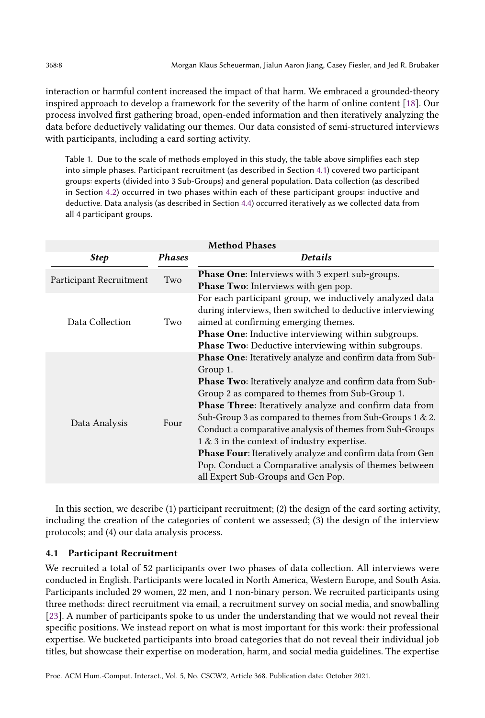interaction or harmful content increased the impact of that harm. We embraced a grounded-theory inspired approach to develop a framework for the severity of the harm of online content [\[18\]](#page-29-16). Our process involved first gathering broad, open-ended information and then iteratively analyzing the data before deductively validating our themes. Our data consisted of semi-structured interviews with participants, including a card sorting activity.

Table 1. Due to the scale of methods employed in this study, the table above simplifies each step into simple phases. Participant recruitment (as described in Section [4.1\)](#page-7-0) covered two participant groups: experts (divided into 3 Sub-Groups) and general population. Data collection (as described in Section [4.2\)](#page-10-0) occurred in two phases within each of these participant groups: inductive and deductive. Data analysis (as described in Section [4.4\)](#page-13-0) occurred iteratively as we collected data from all 4 participant groups.

| <b>Method Phases</b>    |               |                                                                                                                                                                                                                                                                                                                                                                                                                                                                                                                                                                                                         |  |
|-------------------------|---------------|---------------------------------------------------------------------------------------------------------------------------------------------------------------------------------------------------------------------------------------------------------------------------------------------------------------------------------------------------------------------------------------------------------------------------------------------------------------------------------------------------------------------------------------------------------------------------------------------------------|--|
| <b>Step</b>             | <b>Phases</b> | <b>Details</b>                                                                                                                                                                                                                                                                                                                                                                                                                                                                                                                                                                                          |  |
| Participant Recruitment | Two           | <b>Phase One:</b> Interviews with 3 expert sub-groups.                                                                                                                                                                                                                                                                                                                                                                                                                                                                                                                                                  |  |
|                         |               | <b>Phase Two:</b> Interviews with gen pop.                                                                                                                                                                                                                                                                                                                                                                                                                                                                                                                                                              |  |
| Data Collection         | Two           | For each participant group, we inductively analyzed data<br>during interviews, then switched to deductive interviewing<br>aimed at confirming emerging themes.                                                                                                                                                                                                                                                                                                                                                                                                                                          |  |
|                         |               | <b>Phase One:</b> Inductive interviewing within subgroups.                                                                                                                                                                                                                                                                                                                                                                                                                                                                                                                                              |  |
|                         |               | <b>Phase Two:</b> Deductive interviewing within subgroups.                                                                                                                                                                                                                                                                                                                                                                                                                                                                                                                                              |  |
| Data Analysis           | Four          | Phase One: Iteratively analyze and confirm data from Sub-<br>Group 1.<br><b>Phase Two:</b> Iteratively analyze and confirm data from Sub-<br>Group 2 as compared to themes from Sub-Group 1.<br><b>Phase Three:</b> Iteratively analyze and confirm data from<br>Sub-Group 3 as compared to themes from Sub-Groups 1 & 2.<br>Conduct a comparative analysis of themes from Sub-Groups<br>1 & 3 in the context of industry expertise.<br><b>Phase Four:</b> Iteratively analyze and confirm data from Gen<br>Pop. Conduct a Comparative analysis of themes between<br>all Expert Sub-Groups and Gen Pop. |  |

In this section, we describe (1) participant recruitment; (2) the design of the card sorting activity, including the creation of the categories of content we assessed; (3) the design of the interview protocols; and (4) our data analysis process.

## <span id="page-7-0"></span>4.1 Participant Recruitment

We recruited a total of 52 participants over two phases of data collection. All interviews were conducted in English. Participants were located in North America, Western Europe, and South Asia. Participants included 29 women, 22 men, and 1 non-binary person. We recruited participants using three methods: direct recruitment via email, a recruitment survey on social media, and snowballing [\[23\]](#page-30-17). A number of participants spoke to us under the understanding that we would not reveal their specific positions. We instead report on what is most important for this work: their professional expertise. We bucketed participants into broad categories that do not reveal their individual job titles, but showcase their expertise on moderation, harm, and social media guidelines. The expertise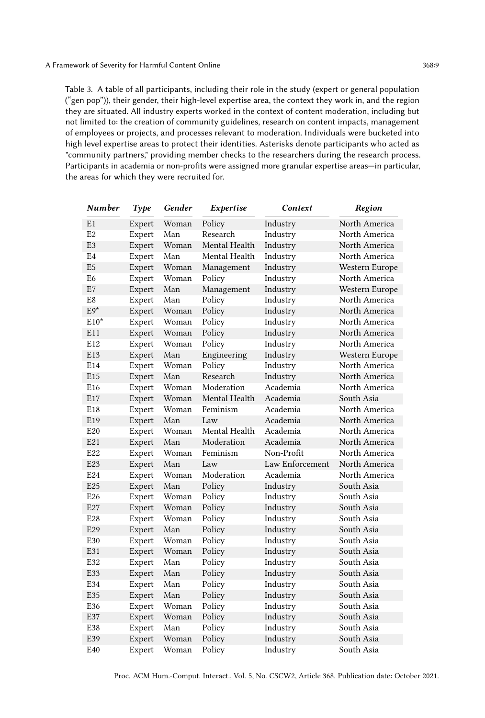<span id="page-8-0"></span>Table 3. A table of all participants, including their role in the study (expert or general population ("gen pop")), their gender, their high-level expertise area, the context they work in, and the region they are situated. All industry experts worked in the context of content moderation, including but not limited to: the creation of community guidelines, research on content impacts, management of employees or projects, and processes relevant to moderation. Individuals were bucketed into high level expertise areas to protect their identities. Asterisks denote participants who acted as "community partners," providing member checks to the researchers during the research process. Participants in academia or non-profits were assigned more granular expertise areas—in particular, the areas for which they were recruited for.

| <b>Number</b>   | <b>Type</b> | Gender | Expertise     | Context         | Region         |
|-----------------|-------------|--------|---------------|-----------------|----------------|
| E1              | Expert      | Woman  | Policy        | Industry        | North America  |
| E <sub>2</sub>  | Expert      | Man    | Research      | Industry        | North America  |
| E <sub>3</sub>  | Expert      | Woman  | Mental Health | Industry        | North America  |
| E4              | Expert      | Man    | Mental Health | Industry        | North America  |
| E <sub>5</sub>  | Expert      | Woman  | Management    | Industry        | Western Europe |
| E6              | Expert      | Woman  | Policy        | Industry        | North America  |
| E7              | Expert      | Man    | Management    | Industry        | Western Europe |
| E8              | Expert      | Man    | Policy        | Industry        | North America  |
| $E9*$           | Expert      | Woman  | Policy        | Industry        | North America  |
| $E10*$          | Expert      | Woman  | Policy        | Industry        | North America  |
| E11             | Expert      | Woman  | Policy        | Industry        | North America  |
| E <sub>12</sub> | Expert      | Woman  | Policy        | Industry        | North America  |
| E13             | Expert      | Man    | Engineering   | Industry        | Western Europe |
| E14             | Expert      | Woman  | Policy        | Industry        | North America  |
| E <sub>15</sub> | Expert      | Man    | Research      | Industry        | North America  |
| E <sub>16</sub> | Expert      | Woman  | Moderation    | Academia        | North America  |
| E17             | Expert      | Woman  | Mental Health | Academia        | South Asia     |
| E18             | Expert      | Woman  | Feminism      | Academia        | North America  |
| E <sub>19</sub> | Expert      | Man    | Law           | Academia        | North America  |
| E20             | Expert      | Woman  | Mental Health | Academia        | North America  |
| E21             | Expert      | Man    | Moderation    | Academia        | North America  |
| E22             | Expert      | Woman  | Feminism      | Non-Profit      | North America  |
| E23             | Expert      | Man    | Law           | Law Enforcement | North America  |
| E24             | Expert      | Woman  | Moderation    | Academia        | North America  |
| E25             | Expert      | Man    | Policy        | Industry        | South Asia     |
| E <sub>26</sub> | Expert      | Woman  | Policy        | Industry        | South Asia     |
| E27             | Expert      | Woman  | Policy        | Industry        | South Asia     |
| E28             | Expert      | Woman  | Policy        | Industry        | South Asia     |
| E29             | Expert      | Man    | Policy        | Industry        | South Asia     |
| E30             | Expert      | Woman  | Policy        | Industry        | South Asia     |
| E31             | Expert      | Woman  | Policy        | Industry        | South Asia     |
| E32             | Expert      | Man    | Policy        | Industry        | South Asia     |
| E33             | Expert      | Man    | Policy        | Industry        | South Asia     |
| E34             | Expert      | Man    | Policy        | Industry        | South Asia     |
| E35             | Expert      | Man    | Policy        | Industry        | South Asia     |
| E36             | Expert      | Woman  | Policy        | Industry        | South Asia     |
| E37             | Expert      | Woman  | Policy        | Industry        | South Asia     |
| E38             | Expert      | Man    | Policy        | Industry        | South Asia     |
| E39             | Expert      | Woman  | Policy        | Industry        | South Asia     |
| E40             | Expert      | Woman  | Policy        | Industry        | South Asia     |

Proc. ACM Hum.-Comput. Interact., Vol. 5, No. CSCW2, Article 368. Publication date: October 2021.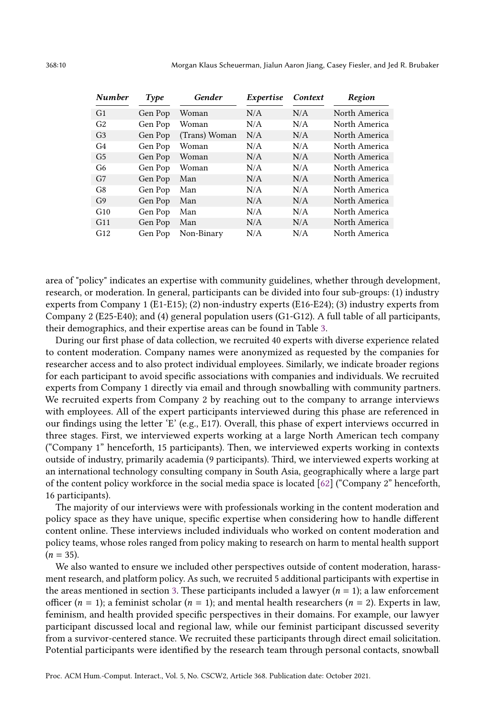| <b>Number</b>  | Type    | Gender        | Expertise | Context | Region        |
|----------------|---------|---------------|-----------|---------|---------------|
| G <sub>1</sub> | Gen Pop | Woman         | N/A       | N/A     | North America |
| G <sub>2</sub> | Gen Pop | Woman         | N/A       | N/A     | North America |
| G <sub>3</sub> | Gen Pop | (Trans) Woman | N/A       | N/A     | North America |
| G4             | Gen Pop | Woman         | N/A       | N/A     | North America |
| G <sub>5</sub> | Gen Pop | Woman         | N/A       | N/A     | North America |
| G <sub>6</sub> | Gen Pop | Woman         | N/A       | N/A     | North America |
| G7             | Gen Pop | Man           | N/A       | N/A     | North America |
| G <sub>8</sub> | Gen Pop | Man           | N/A       | N/A     | North America |
| G <sub>9</sub> | Gen Pop | Man           | N/A       | N/A     | North America |
| G10            | Gen Pop | Man           | N/A       | N/A     | North America |
| G11            | Gen Pop | Man           | N/A       | N/A     | North America |
| G12            | Gen Pop | Non-Binary    | N/A       | N/A     | North America |

area of "policy" indicates an expertise with community guidelines, whether through development, research, or moderation. In general, participants can be divided into four sub-groups: (1) industry experts from Company 1 (E1-E15); (2) non-industry experts (E16-E24); (3) industry experts from Company 2 (E25-E40); and (4) general population users (G1-G12). A full table of all participants, their demographics, and their expertise areas can be found in Table [3.](#page-8-0)

During our first phase of data collection, we recruited 40 experts with diverse experience related to content moderation. Company names were anonymized as requested by the companies for researcher access and to also protect individual employees. Similarly, we indicate broader regions for each participant to avoid specific associations with companies and individuals. We recruited experts from Company 1 directly via email and through snowballing with community partners. We recruited experts from Company 2 by reaching out to the company to arrange interviews with employees. All of the expert participants interviewed during this phase are referenced in our findings using the letter 'E' (e.g., E17). Overall, this phase of expert interviews occurred in three stages. First, we interviewed experts working at a large North American tech company ("Company 1" henceforth, 15 participants). Then, we interviewed experts working in contexts outside of industry, primarily academia (9 participants). Third, we interviewed experts working at an international technology consulting company in South Asia, geographically where a large part of the content policy workforce in the social media space is located [\[62\]](#page-31-8) ("Company 2" henceforth, 16 participants).

The majority of our interviews were with professionals working in the content moderation and policy space as they have unique, specific expertise when considering how to handle different content online. These interviews included individuals who worked on content moderation and policy teams, whose roles ranged from policy making to research on harm to mental health support  $(n = 35)$ .

We also wanted to ensure we included other perspectives outside of content moderation, harassment research, and platform policy. As such, we recruited 5 additional participants with expertise in the areas mentioned in section [3.](#page-5-0) These participants included a lawyer  $(n = 1)$ ; a law enforcement officer ( $n = 1$ ); a feminist scholar ( $n = 1$ ); and mental health researchers ( $n = 2$ ). Experts in law, feminism, and health provided specific perspectives in their domains. For example, our lawyer participant discussed local and regional law, while our feminist participant discussed severity from a survivor-centered stance. We recruited these participants through direct email solicitation. Potential participants were identified by the research team through personal contacts, snowball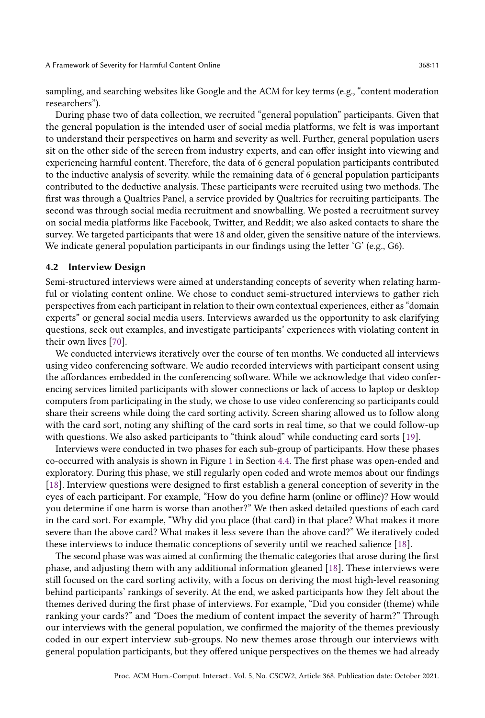sampling, and searching websites like Google and the ACM for key terms (e.g., "content moderation researchers").

During phase two of data collection, we recruited "general population" participants. Given that the general population is the intended user of social media platforms, we felt is was important to understand their perspectives on harm and severity as well. Further, general population users sit on the other side of the screen from industry experts, and can offer insight into viewing and experiencing harmful content. Therefore, the data of 6 general population participants contributed to the inductive analysis of severity. while the remaining data of 6 general population participants contributed to the deductive analysis. These participants were recruited using two methods. The first was through a Qualtrics Panel, a service provided by Qualtrics for recruiting participants. The second was through social media recruitment and snowballing. We posted a recruitment survey on social media platforms like Facebook, Twitter, and Reddit; we also asked contacts to share the survey. We targeted participants that were 18 and older, given the sensitive nature of the interviews. We indicate general population participants in our findings using the letter 'G' (e.g., G6).

#### <span id="page-10-0"></span>4.2 Interview Design

Semi-structured interviews were aimed at understanding concepts of severity when relating harmful or violating content online. We chose to conduct semi-structured interviews to gather rich perspectives from each participant in relation to their own contextual experiences, either as "domain experts" or general social media users. Interviews awarded us the opportunity to ask clarifying questions, seek out examples, and investigate participants' experiences with violating content in their own lives [\[70\]](#page-32-17).

We conducted interviews iteratively over the course of ten months. We conducted all interviews using video conferencing software. We audio recorded interviews with participant consent using the affordances embedded in the conferencing software. While we acknowledge that video conferencing services limited participants with slower connections or lack of access to laptop or desktop computers from participating in the study, we chose to use video conferencing so participants could share their screens while doing the card sorting activity. Screen sharing allowed us to follow along with the card sort, noting any shifting of the card sorts in real time, so that we could follow-up with questions. We also asked participants to "think aloud" while conducting card sorts [\[19\]](#page-29-17).

Interviews were conducted in two phases for each sub-group of participants. How these phases co-occurred with analysis is shown in Figure [1](#page-14-0) in Section [4.4.](#page-13-0) The first phase was open-ended and exploratory. During this phase, we still regularly open coded and wrote memos about our findings [\[18\]](#page-29-16). Interview questions were designed to first establish a general conception of severity in the eyes of each participant. For example, "How do you define harm (online or offline)? How would you determine if one harm is worse than another?" We then asked detailed questions of each card in the card sort. For example, "Why did you place (that card) in that place? What makes it more severe than the above card? What makes it less severe than the above card?" We iteratively coded these interviews to induce thematic conceptions of severity until we reached salience [\[18\]](#page-29-16).

The second phase was was aimed at confirming the thematic categories that arose during the first phase, and adjusting them with any additional information gleaned [\[18\]](#page-29-16). These interviews were still focused on the card sorting activity, with a focus on deriving the most high-level reasoning behind participants' rankings of severity. At the end, we asked participants how they felt about the themes derived during the first phase of interviews. For example, "Did you consider (theme) while ranking your cards?" and "Does the medium of content impact the severity of harm?" Through our interviews with the general population, we confirmed the majority of the themes previously coded in our expert interview sub-groups. No new themes arose through our interviews with general population participants, but they offered unique perspectives on the themes we had already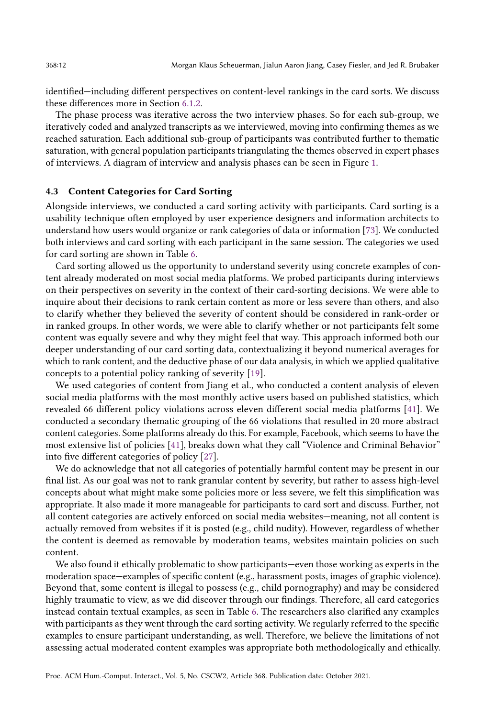identified—including different perspectives on content-level rankings in the card sorts. We discuss these differences more in Section [6.1.2.](#page-26-0)

The phase process was iterative across the two interview phases. So for each sub-group, we iteratively coded and analyzed transcripts as we interviewed, moving into confirming themes as we reached saturation. Each additional sub-group of participants was contributed further to thematic saturation, with general population participants triangulating the themes observed in expert phases of interviews. A diagram of interview and analysis phases can be seen in Figure [1.](#page-14-0)

#### 4.3 Content Categories for Card Sorting

Alongside interviews, we conducted a card sorting activity with participants. Card sorting is a usability technique often employed by user experience designers and information architects to understand how users would organize or rank categories of data or information [\[73\]](#page-32-18). We conducted both interviews and card sorting with each participant in the same session. The categories we used for card sorting are shown in Table [6.](#page-12-0)

Card sorting allowed us the opportunity to understand severity using concrete examples of content already moderated on most social media platforms. We probed participants during interviews on their perspectives on severity in the context of their card-sorting decisions. We were able to inquire about their decisions to rank certain content as more or less severe than others, and also to clarify whether they believed the severity of content should be considered in rank-order or in ranked groups. In other words, we were able to clarify whether or not participants felt some content was equally severe and why they might feel that way. This approach informed both our deeper understanding of our card sorting data, contextualizing it beyond numerical averages for which to rank content, and the deductive phase of our data analysis, in which we applied qualitative concepts to a potential policy ranking of severity [\[19\]](#page-29-17).

We used categories of content from Jiang et al., who conducted a content analysis of eleven social media platforms with the most monthly active users based on published statistics, which revealed 66 different policy violations across eleven different social media platforms [\[41\]](#page-30-18). We conducted a secondary thematic grouping of the 66 violations that resulted in 20 more abstract content categories. Some platforms already do this. For example, Facebook, which seems to have the most extensive list of policies [\[41\]](#page-30-18), breaks down what they call "Violence and Criminal Behavior" into five different categories of policy [\[27\]](#page-30-19).

We do acknowledge that not all categories of potentially harmful content may be present in our final list. As our goal was not to rank granular content by severity, but rather to assess high-level concepts about what might make some policies more or less severe, we felt this simplification was appropriate. It also made it more manageable for participants to card sort and discuss. Further, not all content categories are actively enforced on social media websites—meaning, not all content is actually removed from websites if it is posted (e.g., child nudity). However, regardless of whether the content is deemed as removable by moderation teams, websites maintain policies on such content.

We also found it ethically problematic to show participants—even those working as experts in the moderation space—examples of specific content (e.g., harassment posts, images of graphic violence). Beyond that, some content is illegal to possess (e.g., child pornography) and may be considered highly traumatic to view, as we did discover through our findings. Therefore, all card categories instead contain textual examples, as seen in Table [6.](#page-12-0) The researchers also clarified any examples with participants as they went through the card sorting activity. We regularly referred to the specific examples to ensure participant understanding, as well. Therefore, we believe the limitations of not assessing actual moderated content examples was appropriate both methodologically and ethically.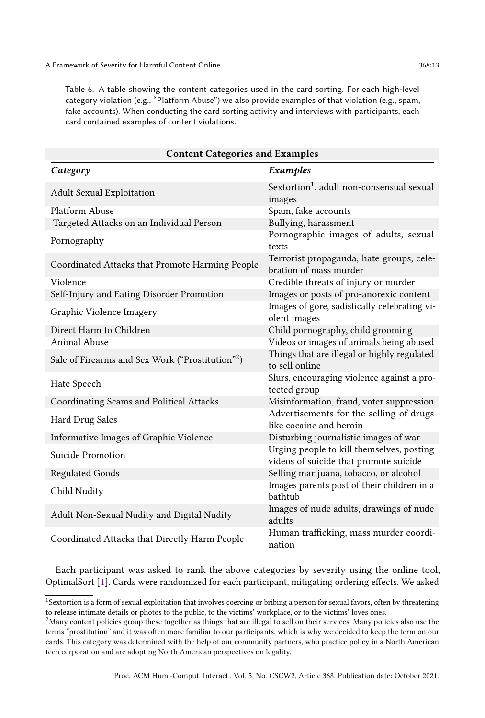<span id="page-12-0"></span>Table 6. A table showing the content categories used in the card sorting. For each high-level category violation (e.g., "Platform Abuse") we also provide examples of that violation (e.g., spam, fake accounts). When conducting the card sorting activity and interviews with participants, each card contained examples of content violations.

| <b>Content Categories and Examples</b>                       |                                                                                     |  |  |
|--------------------------------------------------------------|-------------------------------------------------------------------------------------|--|--|
| Category                                                     | Examples                                                                            |  |  |
| <b>Adult Sexual Exploitation</b>                             | Sextortion <sup>1</sup> , adult non-consensual sexual<br>images                     |  |  |
| Platform Abuse                                               | Spam, fake accounts                                                                 |  |  |
| Targeted Attacks on an Individual Person                     | Bullying, harassment                                                                |  |  |
| Pornography                                                  | Pornographic images of adults, sexual<br>texts                                      |  |  |
| Coordinated Attacks that Promote Harming People              | Terrorist propaganda, hate groups, cele-<br>bration of mass murder                  |  |  |
| Violence                                                     | Credible threats of injury or murder                                                |  |  |
| Self-Injury and Eating Disorder Promotion                    | Images or posts of pro-anorexic content                                             |  |  |
| Graphic Violence Imagery                                     | Images of gore, sadistically celebrating vi-<br>olent images                        |  |  |
| Direct Harm to Children                                      | Child pornography, child grooming                                                   |  |  |
| Animal Abuse                                                 | Videos or images of animals being abused                                            |  |  |
| Sale of Firearms and Sex Work ("Prostitution" <sup>2</sup> ) | Things that are illegal or highly regulated<br>to sell online                       |  |  |
| Hate Speech                                                  | Slurs, encouraging violence against a pro-<br>tected group                          |  |  |
| Coordinating Scams and Political Attacks                     | Misinformation, fraud, voter suppression                                            |  |  |
| Hard Drug Sales                                              | Advertisements for the selling of drugs<br>like cocaine and heroin                  |  |  |
| Informative Images of Graphic Violence                       | Disturbing journalistic images of war                                               |  |  |
| Suicide Promotion                                            | Urging people to kill themselves, posting<br>videos of suicide that promote suicide |  |  |
| <b>Regulated Goods</b>                                       | Selling marijuana, tobacco, or alcohol                                              |  |  |
| Child Nudity                                                 | Images parents post of their children in a<br>bathtub                               |  |  |
| Adult Non-Sexual Nudity and Digital Nudity                   | Images of nude adults, drawings of nude<br>adults                                   |  |  |
| Coordinated Attacks that Directly Harm People                | Human trafficking, mass murder coordi-<br>nation                                    |  |  |

Each participant was asked to rank the above categories by severity using the online tool, OptimalSort [\[1\]](#page-29-18). Cards were randomized for each participant, mitigating ordering effects. We asked

<sup>1</sup>Sextortion is a form of sexual exploitation that involves coercing or bribing a person for sexual favors, often by threatening to release intimate details or photos to the public, to the victims' workplace, or to the victims' loves ones.

 $2$ Many content policies group these together as things that are illegal to sell on their services. Many policies also use the terms "prostitution" and it was often more familiar to our participants, which is why we decided to keep the term on our cards. This category was determined with the help of our community partners, who practice policy in a North American tech corporation and are adopting North American perspectives on legality.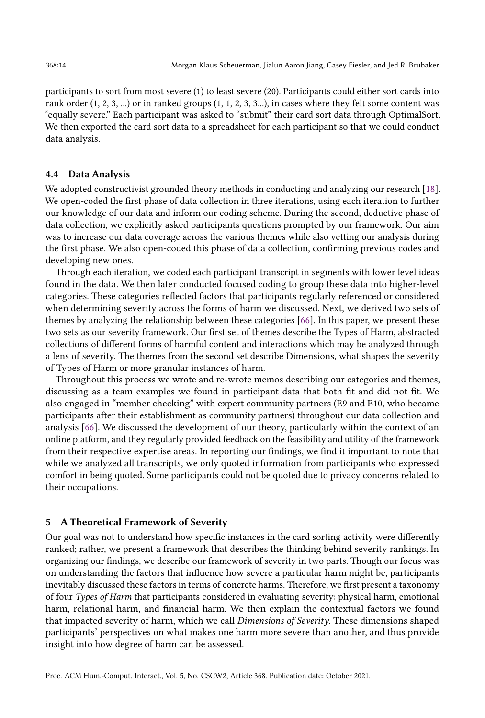participants to sort from most severe (1) to least severe (20). Participants could either sort cards into rank order (1, 2, 3, ...) or in ranked groups (1, 1, 2, 3, 3...), in cases where they felt some content was "equally severe." Each participant was asked to "submit" their card sort data through OptimalSort. We then exported the card sort data to a spreadsheet for each participant so that we could conduct data analysis.

#### <span id="page-13-0"></span>4.4 Data Analysis

We adopted constructivist grounded theory methods in conducting and analyzing our research [\[18\]](#page-29-16). We open-coded the first phase of data collection in three iterations, using each iteration to further our knowledge of our data and inform our coding scheme. During the second, deductive phase of data collection, we explicitly asked participants questions prompted by our framework. Our aim was to increase our data coverage across the various themes while also vetting our analysis during the first phase. We also open-coded this phase of data collection, confirming previous codes and developing new ones.

Through each iteration, we coded each participant transcript in segments with lower level ideas found in the data. We then later conducted focused coding to group these data into higher-level categories. These categories reflected factors that participants regularly referenced or considered when determining severity across the forms of harm we discussed. Next, we derived two sets of themes by analyzing the relationship between these categories [\[66\]](#page-32-19). In this paper, we present these two sets as our severity framework. Our first set of themes describe the Types of Harm, abstracted collections of different forms of harmful content and interactions which may be analyzed through a lens of severity. The themes from the second set describe Dimensions, what shapes the severity of Types of Harm or more granular instances of harm.

Throughout this process we wrote and re-wrote memos describing our categories and themes, discussing as a team examples we found in participant data that both fit and did not fit. We also engaged in "member checking" with expert community partners (E9 and E10, who became participants after their establishment as community partners) throughout our data collection and analysis [\[66\]](#page-32-19). We discussed the development of our theory, particularly within the context of an online platform, and they regularly provided feedback on the feasibility and utility of the framework from their respective expertise areas. In reporting our findings, we find it important to note that while we analyzed all transcripts, we only quoted information from participants who expressed comfort in being quoted. Some participants could not be quoted due to privacy concerns related to their occupations.

#### 5 A Theoretical Framework of Severity

Our goal was not to understand how specific instances in the card sorting activity were differently ranked; rather, we present a framework that describes the thinking behind severity rankings. In organizing our findings, we describe our framework of severity in two parts. Though our focus was on understanding the factors that influence how severe a particular harm might be, participants inevitably discussed these factors in terms of concrete harms. Therefore, we first present a taxonomy of four Types of Harm that participants considered in evaluating severity: physical harm, emotional harm, relational harm, and financial harm. We then explain the contextual factors we found that impacted severity of harm, which we call Dimensions of Severity. These dimensions shaped participants' perspectives on what makes one harm more severe than another, and thus provide insight into how degree of harm can be assessed.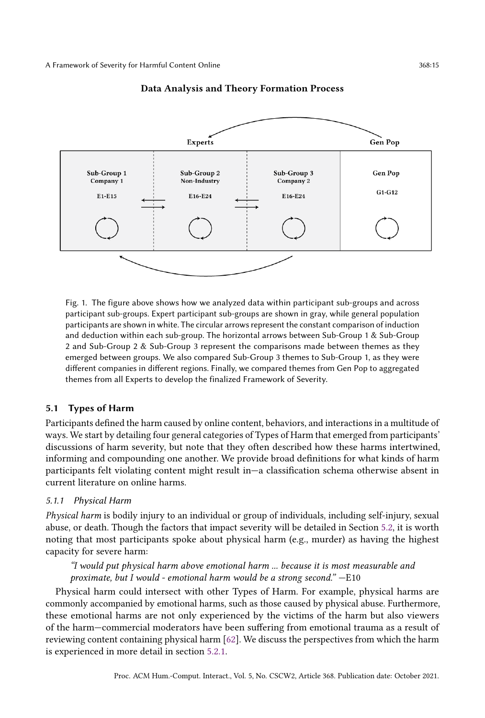<span id="page-14-0"></span>

#### Data Analysis and Theory Formation Process

Fig. 1. The figure above shows how we analyzed data within participant sub-groups and across participant sub-groups. Expert participant sub-groups are shown in gray, while general population participants are shown in white. The circular arrows represent the constant comparison of induction and deduction within each sub-group. The horizontal arrows between Sub-Group 1 & Sub-Group 2 and Sub-Group 2 & Sub-Group 3 represent the comparisons made between themes as they emerged between groups. We also compared Sub-Group 3 themes to Sub-Group 1, as they were different companies in different regions. Finally, we compared themes from Gen Pop to aggregated themes from all Experts to develop the finalized Framework of Severity.

### 5.1 Types of Harm

Participants defined the harm caused by online content, behaviors, and interactions in a multitude of ways. We start by detailing four general categories of Types of Harm that emerged from participants' discussions of harm severity, but note that they often described how these harms intertwined, informing and compounding one another. We provide broad definitions for what kinds of harm participants felt violating content might result in—a classification schema otherwise absent in current literature on online harms.

#### 5.1.1 Physical Harm

Physical harm is bodily injury to an individual or group of individuals, including self-injury, sexual abuse, or death. Though the factors that impact severity will be detailed in Section [5.2,](#page-15-0) it is worth noting that most participants spoke about physical harm (e.g., murder) as having the highest capacity for severe harm:

## "I would put physical harm above emotional harm ... because it is most measurable and proximate, but I would - emotional harm would be a strong second." —E10

Physical harm could intersect with other Types of Harm. For example, physical harms are commonly accompanied by emotional harms, such as those caused by physical abuse. Furthermore, these emotional harms are not only experienced by the victims of the harm but also viewers of the harm—commercial moderators have been suffering from emotional trauma as a result of reviewing content containing physical harm [\[62\]](#page-31-8). We discuss the perspectives from which the harm is experienced in more detail in section [5.2.1.](#page-17-0)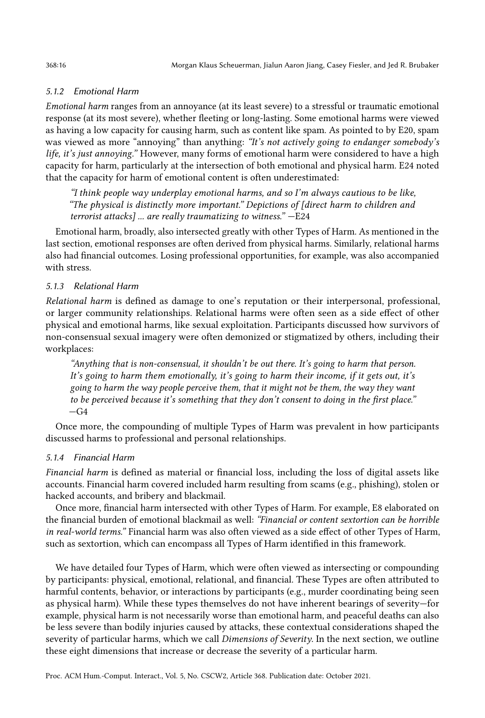## 5.1.2 Emotional Harm

Emotional harm ranges from an annoyance (at its least severe) to a stressful or traumatic emotional response (at its most severe), whether fleeting or long-lasting. Some emotional harms were viewed as having a low capacity for causing harm, such as content like spam. As pointed to by E20, spam was viewed as more "annoying" than anything: "It's not actively going to endanger somebody's life, it's just annoying." However, many forms of emotional harm were considered to have a high capacity for harm, particularly at the intersection of both emotional and physical harm. E24 noted that the capacity for harm of emotional content is often underestimated:

"I think people way underplay emotional harms, and so I'm always cautious to be like, "The physical is distinctly more important." Depictions of [direct harm to children and terrorist attacks] ... are really traumatizing to witness." —E24

Emotional harm, broadly, also intersected greatly with other Types of Harm. As mentioned in the last section, emotional responses are often derived from physical harms. Similarly, relational harms also had financial outcomes. Losing professional opportunities, for example, was also accompanied with stress.

## 5.1.3 Relational Harm

Relational harm is defined as damage to one's reputation or their interpersonal, professional, or larger community relationships. Relational harms were often seen as a side effect of other physical and emotional harms, like sexual exploitation. Participants discussed how survivors of non-consensual sexual imagery were often demonized or stigmatized by others, including their workplaces:

"Anything that is non-consensual, it shouldn't be out there. It's going to harm that person. It's going to harm them emotionally, it's going to harm their income, if it gets out, it's going to harm the way people perceive them, that it might not be them, the way they want to be perceived because it's something that they don't consent to doing in the first place."  $-G4$ 

Once more, the compounding of multiple Types of Harm was prevalent in how participants discussed harms to professional and personal relationships.

## 5.1.4 Financial Harm

Financial harm is defined as material or financial loss, including the loss of digital assets like accounts. Financial harm covered included harm resulting from scams (e.g., phishing), stolen or hacked accounts, and bribery and blackmail.

Once more, financial harm intersected with other Types of Harm. For example, E8 elaborated on the financial burden of emotional blackmail as well: "Financial or content sextortion can be horrible in real-world terms." Financial harm was also often viewed as a side effect of other Types of Harm, such as sextortion, which can encompass all Types of Harm identified in this framework.

<span id="page-15-0"></span>We have detailed four Types of Harm, which were often viewed as intersecting or compounding by participants: physical, emotional, relational, and financial. These Types are often attributed to harmful contents, behavior, or interactions by participants (e.g., murder coordinating being seen as physical harm). While these types themselves do not have inherent bearings of severity—for example, physical harm is not necessarily worse than emotional harm, and peaceful deaths can also be less severe than bodily injuries caused by attacks, these contextual considerations shaped the severity of particular harms, which we call *Dimensions of Severity*. In the next section, we outline these eight dimensions that increase or decrease the severity of a particular harm.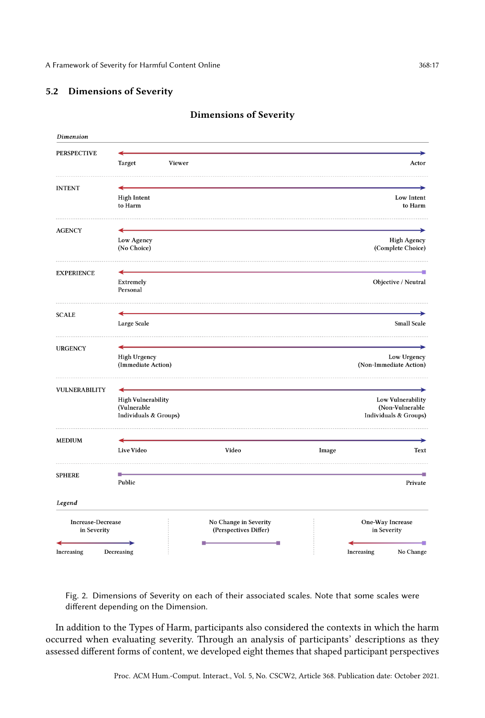## <span id="page-16-0"></span>5.2 Dimensions of Severity

| Dimension                               |                                                                   |                                                |       |                                                               |
|-----------------------------------------|-------------------------------------------------------------------|------------------------------------------------|-------|---------------------------------------------------------------|
| <b>PERSPECTIVE</b>                      | Target                                                            | Viewer                                         |       | Actor                                                         |
| <b>INTENT</b>                           | <b>High Intent</b>                                                |                                                |       | Low Intent                                                    |
| <b>AGENCY</b>                           | to Harm                                                           |                                                |       | to Harm                                                       |
|                                         | Low Agency<br>(No Choice)                                         |                                                |       | <b>High Agency</b><br>(Complete Choice)                       |
| <b>EXPERIENCE</b>                       | Extremely<br>Personal                                             |                                                |       | Objective / Neutral                                           |
| <b>SCALE</b>                            | Large Scale                                                       |                                                |       | <b>Small Scale</b>                                            |
| <b>URGENCY</b>                          | <b>High Urgency</b><br>(Immediate Action)                         |                                                |       | Low Urgency<br>(Non-Immediate Action)                         |
| <b>VULNERABILITY</b>                    | <b>High Vulnerability</b><br>(Vulnerable<br>Individuals & Groups) |                                                |       | Low Vulnerability<br>(Non-Vulnerable<br>Individuals & Groups) |
| <b>MEDIUM</b>                           | Live Video                                                        | Video                                          | Image | Text                                                          |
| <b>SPHERE</b>                           | Public                                                            |                                                |       | Private                                                       |
| Legend                                  |                                                                   |                                                |       |                                                               |
| <b>Increase-Decrease</b><br>in Severity |                                                                   | No Change in Severity<br>(Perspectives Differ) |       | One-Way Increase<br>in Severity                               |
| Increasing                              | Decreasing                                                        | г                                              |       | No Change<br>Increasing                                       |

## Dimensions of Severity

Fig. 2. Dimensions of Severity on each of their associated scales. Note that some scales were different depending on the Dimension.

In addition to the Types of Harm, participants also considered the contexts in which the harm occurred when evaluating severity. Through an analysis of participants' descriptions as they assessed different forms of content, we developed eight themes that shaped participant perspectives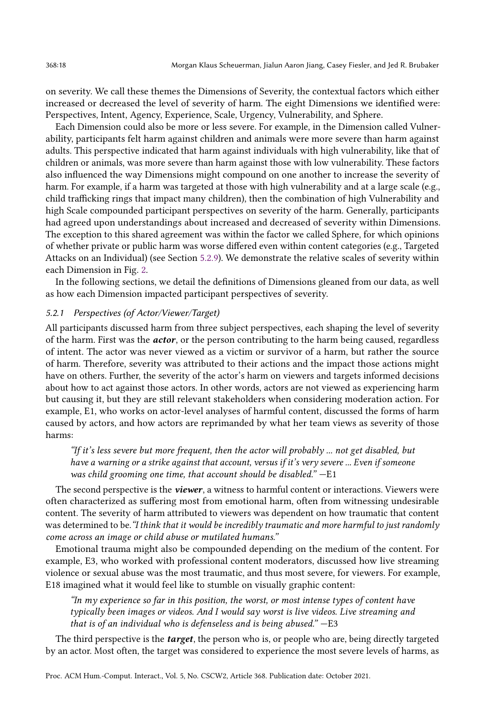on severity. We call these themes the Dimensions of Severity, the contextual factors which either increased or decreased the level of severity of harm. The eight Dimensions we identified were: Perspectives, Intent, Agency, Experience, Scale, Urgency, Vulnerability, and Sphere.

Each Dimension could also be more or less severe. For example, in the Dimension called Vulnerability, participants felt harm against children and animals were more severe than harm against adults. This perspective indicated that harm against individuals with high vulnerability, like that of children or animals, was more severe than harm against those with low vulnerability. These factors also influenced the way Dimensions might compound on one another to increase the severity of harm. For example, if a harm was targeted at those with high vulnerability and at a large scale (e.g., child trafficking rings that impact many children), then the combination of high Vulnerability and high Scale compounded participant perspectives on severity of the harm. Generally, participants had agreed upon understandings about increased and decreased of severity within Dimensions. The exception to this shared agreement was within the factor we called Sphere, for which opinions of whether private or public harm was worse differed even within content categories (e.g., Targeted Attacks on an Individual) (see Section [5.2.9\)](#page-22-0). We demonstrate the relative scales of severity within each Dimension in Fig. [2.](#page-16-0)

In the following sections, we detail the definitions of Dimensions gleaned from our data, as well as how each Dimension impacted participant perspectives of severity.

## <span id="page-17-0"></span>5.2.1 Perspectives (of Actor/Viewer/Target)

All participants discussed harm from three subject perspectives, each shaping the level of severity of the harm. First was the **actor**, or the person contributing to the harm being caused, regardless of intent. The actor was never viewed as a victim or survivor of a harm, but rather the source of harm. Therefore, severity was attributed to their actions and the impact those actions might have on others. Further, the severity of the actor's harm on viewers and targets informed decisions about how to act against those actors. In other words, actors are not viewed as experiencing harm but causing it, but they are still relevant stakeholders when considering moderation action. For example, E1, who works on actor-level analyses of harmful content, discussed the forms of harm caused by actors, and how actors are reprimanded by what her team views as severity of those harms:

"If it's less severe but more frequent, then the actor will probably ... not get disabled, but have a warning or a strike against that account, versus if it's very severe ... Even if someone was child grooming one time, that account should be disabled." —E1

The second perspective is the **viewer**, a witness to harmful content or interactions. Viewers were often characterized as suffering most from emotional harm, often from witnessing undesirable content. The severity of harm attributed to viewers was dependent on how traumatic that content was determined to be. "I think that it would be incredibly traumatic and more harmful to just randomly come across an image or child abuse or mutilated humans."

Emotional trauma might also be compounded depending on the medium of the content. For example, E3, who worked with professional content moderators, discussed how live streaming violence or sexual abuse was the most traumatic, and thus most severe, for viewers. For example, E18 imagined what it would feel like to stumble on visually graphic content:

"In my experience so far in this position, the worst, or most intense types of content have typically been images or videos. And I would say worst is live videos. Live streaming and that is of an individual who is defenseless and is being abused." —E3

The third perspective is the **target**, the person who is, or people who are, being directly targeted by an actor. Most often, the target was considered to experience the most severe levels of harms, as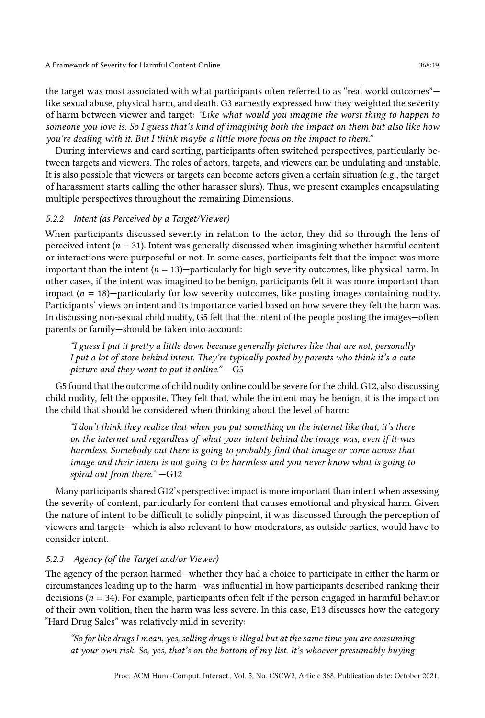A Framework of Severity for Harmful Content Online 368:19

the target was most associated with what participants often referred to as "real world outcomes" like sexual abuse, physical harm, and death. G3 earnestly expressed how they weighted the severity of harm between viewer and target: "Like what would you imagine the worst thing to happen to someone you love is. So I guess that's kind of imagining both the impact on them but also like how you're dealing with it. But I think maybe a little more focus on the impact to them."

During interviews and card sorting, participants often switched perspectives, particularly between targets and viewers. The roles of actors, targets, and viewers can be undulating and unstable. It is also possible that viewers or targets can become actors given a certain situation (e.g., the target of harassment starts calling the other harasser slurs). Thus, we present examples encapsulating multiple perspectives throughout the remaining Dimensions.

# 5.2.2 Intent (as Perceived by a Target/Viewer)

When participants discussed severity in relation to the actor, they did so through the lens of perceived intent ( $n = 31$ ). Intent was generally discussed when imagining whether harmful content or interactions were purposeful or not. In some cases, participants felt that the impact was more important than the intent  $(n = 13)$ —particularly for high severity outcomes, like physical harm. In other cases, if the intent was imagined to be benign, participants felt it was more important than impact  $(n = 18)$ —particularly for low severity outcomes, like posting images containing nudity. Participants' views on intent and its importance varied based on how severe they felt the harm was. In discussing non-sexual child nudity, G5 felt that the intent of the people posting the images—often parents or family—should be taken into account:

"I guess I put it pretty a little down because generally pictures like that are not, personally I put a lot of store behind intent. They're typically posted by parents who think it's a cute picture and they want to put it online." —G5

G5 found that the outcome of child nudity online could be severe for the child. G12, also discussing child nudity, felt the opposite. They felt that, while the intent may be benign, it is the impact on the child that should be considered when thinking about the level of harm:

"I don't think they realize that when you put something on the internet like that, it's there on the internet and regardless of what your intent behind the image was, even if it was harmless. Somebody out there is going to probably find that image or come across that image and their intent is not going to be harmless and you never know what is going to spiral out from there." —G12

Many participants shared G12's perspective: impact is more important than intent when assessing the severity of content, particularly for content that causes emotional and physical harm. Given the nature of intent to be difficult to solidly pinpoint, it was discussed through the perception of viewers and targets—which is also relevant to how moderators, as outside parties, would have to consider intent.

# 5.2.3 Agency (of the Target and/or Viewer)

The agency of the person harmed—whether they had a choice to participate in either the harm or circumstances leading up to the harm—was influential in how participants described ranking their decisions ( $n = 34$ ). For example, participants often felt if the person engaged in harmful behavior of their own volition, then the harm was less severe. In this case, E13 discusses how the category "Hard Drug Sales" was relatively mild in severity:

"So for like drugs I mean, yes, selling drugs is illegal but at the same time you are consuming at your own risk. So, yes, that's on the bottom of my list. It's whoever presumably buying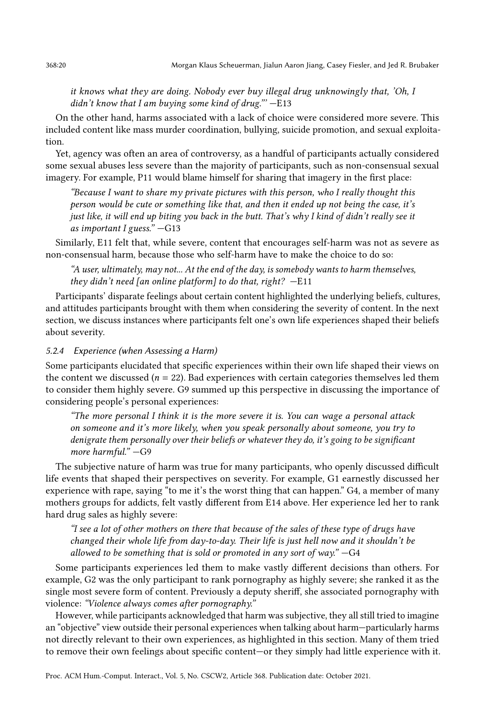it knows what they are doing. Nobody ever buy illegal drug unknowingly that, 'Oh, I didn't know that I am buying some kind of drug.""  $-E13$ 

On the other hand, harms associated with a lack of choice were considered more severe. This included content like mass murder coordination, bullying, suicide promotion, and sexual exploitation.

Yet, agency was often an area of controversy, as a handful of participants actually considered some sexual abuses less severe than the majority of participants, such as non-consensual sexual imagery. For example, P11 would blame himself for sharing that imagery in the first place:

"Because I want to share my private pictures with this person, who I really thought this person would be cute or something like that, and then it ended up not being the case, it's just like, it will end up biting you back in the butt. That's why I kind of didn't really see it as important I guess." —G13

Similarly, E11 felt that, while severe, content that encourages self-harm was not as severe as non-consensual harm, because those who self-harm have to make the choice to do so:

"A user, ultimately, may not... At the end of the day, is somebody wants to harm themselves, they didn't need [an online platform] to do that, right? —E11

Participants' disparate feelings about certain content highlighted the underlying beliefs, cultures, and attitudes participants brought with them when considering the severity of content. In the next section, we discuss instances where participants felt one's own life experiences shaped their beliefs about severity.

#### 5.2.4 Experience (when Assessing a Harm)

Some participants elucidated that specific experiences within their own life shaped their views on the content we discussed ( $n = 22$ ). Bad experiences with certain categories themselves led them to consider them highly severe. G9 summed up this perspective in discussing the importance of considering people's personal experiences:

"The more personal I think it is the more severe it is. You can wage a personal attack on someone and it's more likely, when you speak personally about someone, you try to denigrate them personally over their beliefs or whatever they do, it's going to be significant more harmful." —G9

The subjective nature of harm was true for many participants, who openly discussed difficult life events that shaped their perspectives on severity. For example, G1 earnestly discussed her experience with rape, saying "to me it's the worst thing that can happen." G4, a member of many mothers groups for addicts, felt vastly different from E14 above. Her experience led her to rank hard drug sales as highly severe:

"I see a lot of other mothers on there that because of the sales of these type of drugs have changed their whole life from day-to-day. Their life is just hell now and it shouldn't be allowed to be something that is sold or promoted in any sort of way."  $-G4$ 

Some participants experiences led them to make vastly different decisions than others. For example, G2 was the only participant to rank pornography as highly severe; she ranked it as the single most severe form of content. Previously a deputy sheriff, she associated pornography with violence: "Violence always comes after pornography."

However, while participants acknowledged that harm was subjective, they all still tried to imagine an "objective" view outside their personal experiences when talking about harm—particularly harms not directly relevant to their own experiences, as highlighted in this section. Many of them tried to remove their own feelings about specific content—or they simply had little experience with it.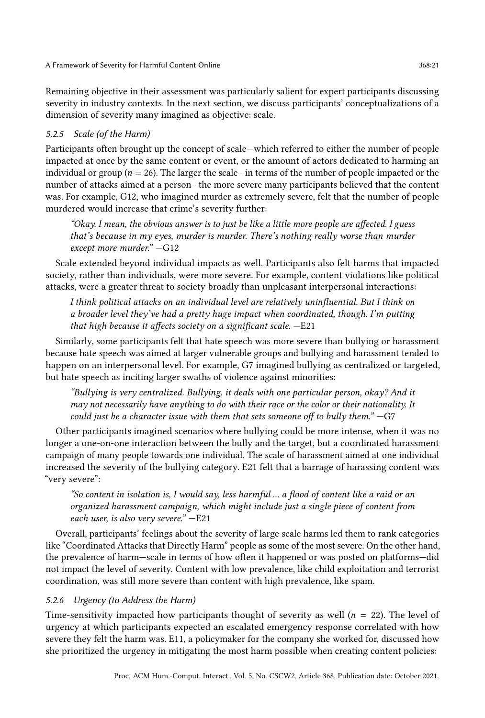Remaining objective in their assessment was particularly salient for expert participants discussing severity in industry contexts. In the next section, we discuss participants' conceptualizations of a dimension of severity many imagined as objective: scale.

# 5.2.5 Scale (of the Harm)

Participants often brought up the concept of scale—which referred to either the number of people impacted at once by the same content or event, or the amount of actors dedicated to harming an individual or group ( $n = 26$ ). The larger the scale—in terms of the number of people impacted or the number of attacks aimed at a person—the more severe many participants believed that the content was. For example, G12, who imagined murder as extremely severe, felt that the number of people murdered would increase that crime's severity further:

"Okay. I mean, the obvious answer is to just be like a little more people are affected. I guess that's because in my eyes, murder is murder. There's nothing really worse than murder except more murder." —G12

Scale extended beyond individual impacts as well. Participants also felt harms that impacted society, rather than individuals, were more severe. For example, content violations like political attacks, were a greater threat to society broadly than unpleasant interpersonal interactions:

I think political attacks on an individual level are relatively uninfluential. But I think on a broader level they've had a pretty huge impact when coordinated, though. I'm putting that high because it affects society on a significant scale.  $-E21$ 

Similarly, some participants felt that hate speech was more severe than bullying or harassment because hate speech was aimed at larger vulnerable groups and bullying and harassment tended to happen on an interpersonal level. For example, G7 imagined bullying as centralized or targeted, but hate speech as inciting larger swaths of violence against minorities:

"Bullying is very centralized. Bullying, it deals with one particular person, okay? And it may not necessarily have anything to do with their race or the color or their nationality. It could just be a character issue with them that sets someone off to bully them." —G7

Other participants imagined scenarios where bullying could be more intense, when it was no longer a one-on-one interaction between the bully and the target, but a coordinated harassment campaign of many people towards one individual. The scale of harassment aimed at one individual increased the severity of the bullying category. E21 felt that a barrage of harassing content was "very severe":

"So content in isolation is, I would say, less harmful ... a flood of content like a raid or an organized harassment campaign, which might include just a single piece of content from each user, is also very severe." —E21

Overall, participants' feelings about the severity of large scale harms led them to rank categories like "Coordinated Attacks that Directly Harm" people as some of the most severe. On the other hand, the prevalence of harm—scale in terms of how often it happened or was posted on platforms—did not impact the level of severity. Content with low prevalence, like child exploitation and terrorist coordination, was still more severe than content with high prevalence, like spam.

# 5.2.6 Urgency (to Address the Harm)

Time-sensitivity impacted how participants thought of severity as well  $(n = 22)$ . The level of urgency at which participants expected an escalated emergency response correlated with how severe they felt the harm was. E11, a policymaker for the company she worked for, discussed how she prioritized the urgency in mitigating the most harm possible when creating content policies: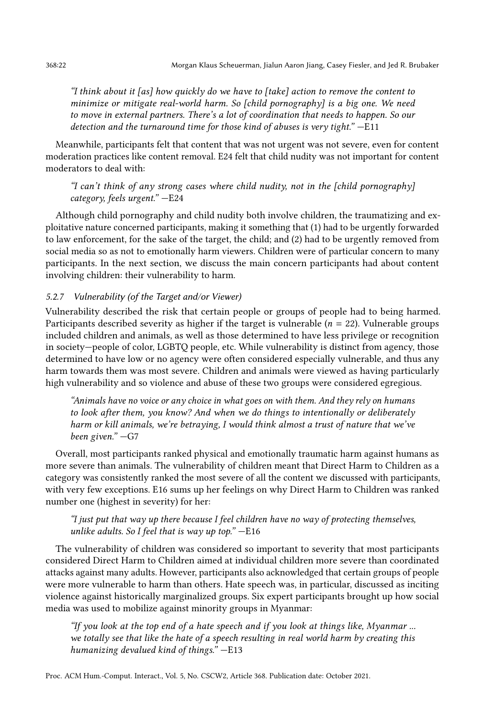"I think about it [as] how quickly do we have to [take] action to remove the content to minimize or mitigate real-world harm. So [child pornography] is a big one. We need to move in external partners. There's a lot of coordination that needs to happen. So our detection and the turnaround time for those kind of abuses is very tight." —E11

Meanwhile, participants felt that content that was not urgent was not severe, even for content moderation practices like content removal. E24 felt that child nudity was not important for content moderators to deal with:

"I can't think of any strong cases where child nudity, not in the [child pornography] category, feels urgent." —E24

Although child pornography and child nudity both involve children, the traumatizing and exploitative nature concerned participants, making it something that (1) had to be urgently forwarded to law enforcement, for the sake of the target, the child; and (2) had to be urgently removed from social media so as not to emotionally harm viewers. Children were of particular concern to many participants. In the next section, we discuss the main concern participants had about content involving children: their vulnerability to harm.

## 5.2.7 Vulnerability (of the Target and/or Viewer)

Vulnerability described the risk that certain people or groups of people had to being harmed. Participants described severity as higher if the target is vulnerable  $(n = 22)$ . Vulnerable groups included children and animals, as well as those determined to have less privilege or recognition in society—people of color, LGBTQ people, etc. While vulnerability is distinct from agency, those determined to have low or no agency were often considered especially vulnerable, and thus any harm towards them was most severe. Children and animals were viewed as having particularly high vulnerability and so violence and abuse of these two groups were considered egregious.

"Animals have no voice or any choice in what goes on with them. And they rely on humans to look after them, you know? And when we do things to intentionally or deliberately harm or kill animals, we're betraying, I would think almost a trust of nature that we've been given." —G7

Overall, most participants ranked physical and emotionally traumatic harm against humans as more severe than animals. The vulnerability of children meant that Direct Harm to Children as a category was consistently ranked the most severe of all the content we discussed with participants, with very few exceptions. E16 sums up her feelings on why Direct Harm to Children was ranked number one (highest in severity) for her:

"I just put that way up there because I feel children have no way of protecting themselves, unlike adults. So I feel that is way up top." $-E16$ 

The vulnerability of children was considered so important to severity that most participants considered Direct Harm to Children aimed at individual children more severe than coordinated attacks against many adults. However, participants also acknowledged that certain groups of people were more vulnerable to harm than others. Hate speech was, in particular, discussed as inciting violence against historically marginalized groups. Six expert participants brought up how social media was used to mobilize against minority groups in Myanmar:

"If you look at the top end of a hate speech and if you look at things like, Myanmar ... we totally see that like the hate of a speech resulting in real world harm by creating this humanizing devalued kind of things." —E13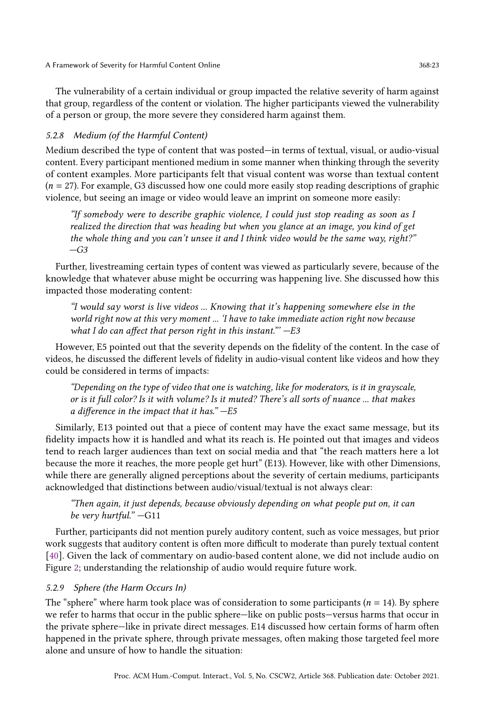The vulnerability of a certain individual or group impacted the relative severity of harm against that group, regardless of the content or violation. The higher participants viewed the vulnerability of a person or group, the more severe they considered harm against them.

## 5.2.8 Medium (of the Harmful Content)

Medium described the type of content that was posted—in terms of textual, visual, or audio-visual content. Every participant mentioned medium in some manner when thinking through the severity of content examples. More participants felt that visual content was worse than textual content  $(n = 27)$ . For example, G3 discussed how one could more easily stop reading descriptions of graphic violence, but seeing an image or video would leave an imprint on someone more easily:

"If somebody were to describe graphic violence, I could just stop reading as soon as I realized the direction that was heading but when you glance at an image, you kind of get the whole thing and you can't unsee it and I think video would be the same way, right?"  $-G3$ 

Further, livestreaming certain types of content was viewed as particularly severe, because of the knowledge that whatever abuse might be occurring was happening live. She discussed how this impacted those moderating content:

"I would say worst is live videos ... Knowing that it's happening somewhere else in the world right now at this very moment ... 'I have to take immediate action right now because what I do can affect that person right in this instant."' $-E3$ 

However, E5 pointed out that the severity depends on the fidelity of the content. In the case of videos, he discussed the different levels of fidelity in audio-visual content like videos and how they could be considered in terms of impacts:

"Depending on the type of video that one is watching, like for moderators, is it in grayscale, or is it full color? Is it with volume? Is it muted? There's all sorts of nuance ... that makes a difference in the impact that it has." —E5

Similarly, E13 pointed out that a piece of content may have the exact same message, but its fidelity impacts how it is handled and what its reach is. He pointed out that images and videos tend to reach larger audiences than text on social media and that "the reach matters here a lot because the more it reaches, the more people get hurt" (E13). However, like with other Dimensions, while there are generally aligned perceptions about the severity of certain mediums, participants acknowledged that distinctions between audio/visual/textual is not always clear:

"Then again, it just depends, because obviously depending on what people put on, it can be very hurtful." —G11

Further, participants did not mention purely auditory content, such as voice messages, but prior work suggests that auditory content is often more difficult to moderate than purely textual content [\[40\]](#page-30-8). Given the lack of commentary on audio-based content alone, we did not include audio on Figure [2;](#page-16-0) understanding the relationship of audio would require future work.

## <span id="page-22-0"></span>5.2.9 Sphere (the Harm Occurs In)

The "sphere" where harm took place was of consideration to some participants ( $n = 14$ ). By sphere we refer to harms that occur in the public sphere—like on public posts—versus harms that occur in the private sphere—like in private direct messages. E14 discussed how certain forms of harm often happened in the private sphere, through private messages, often making those targeted feel more alone and unsure of how to handle the situation: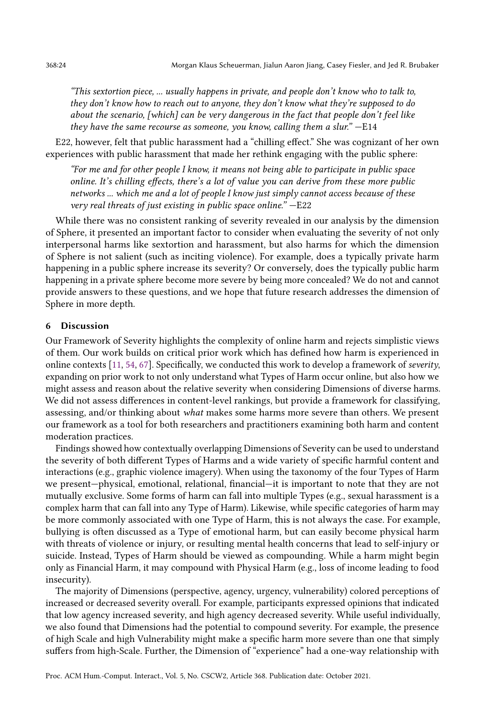"This sextortion piece, ... usually happens in private, and people don't know who to talk to, they don't know how to reach out to anyone, they don't know what they're supposed to do about the scenario, [which] can be very dangerous in the fact that people don't feel like they have the same recourse as someone, you know, calling them a slur." —E14

E22, however, felt that public harassment had a "chilling effect." She was cognizant of her own experiences with public harassment that made her rethink engaging with the public sphere:

"For me and for other people I know, it means not being able to participate in public space online. It's chilling effects, there's a lot of value you can derive from these more public networks ... which me and a lot of people I know just simply cannot access because of these very real threats of just existing in public space online." —E22

While there was no consistent ranking of severity revealed in our analysis by the dimension of Sphere, it presented an important factor to consider when evaluating the severity of not only interpersonal harms like sextortion and harassment, but also harms for which the dimension of Sphere is not salient (such as inciting violence). For example, does a typically private harm happening in a public sphere increase its severity? Or conversely, does the typically public harm happening in a private sphere become more severe by being more concealed? We do not and cannot provide answers to these questions, and we hope that future research addresses the dimension of Sphere in more depth.

## 6 Discussion

Our Framework of Severity highlights the complexity of online harm and rejects simplistic views of them. Our work builds on critical prior work which has defined how harm is experienced in online contexts [\[11,](#page-29-11) [54,](#page-31-4) [67\]](#page-32-4). Specifically, we conducted this work to develop a framework of severity, expanding on prior work to not only understand what Types of Harm occur online, but also how we might assess and reason about the relative severity when considering Dimensions of diverse harms. We did not assess differences in content-level rankings, but provide a framework for classifying, assessing, and/or thinking about what makes some harms more severe than others. We present our framework as a tool for both researchers and practitioners examining both harm and content moderation practices.

Findings showed how contextually overlapping Dimensions of Severity can be used to understand the severity of both different Types of Harms and a wide variety of specific harmful content and interactions (e.g., graphic violence imagery). When using the taxonomy of the four Types of Harm we present—physical, emotional, relational, financial—it is important to note that they are not mutually exclusive. Some forms of harm can fall into multiple Types (e.g., sexual harassment is a complex harm that can fall into any Type of Harm). Likewise, while specific categories of harm may be more commonly associated with one Type of Harm, this is not always the case. For example, bullying is often discussed as a Type of emotional harm, but can easily become physical harm with threats of violence or injury, or resulting mental health concerns that lead to self-injury or suicide. Instead, Types of Harm should be viewed as compounding. While a harm might begin only as Financial Harm, it may compound with Physical Harm (e.g., loss of income leading to food insecurity).

The majority of Dimensions (perspective, agency, urgency, vulnerability) colored perceptions of increased or decreased severity overall. For example, participants expressed opinions that indicated that low agency increased severity, and high agency decreased severity. While useful individually, we also found that Dimensions had the potential to compound severity. For example, the presence of high Scale and high Vulnerability might make a specific harm more severe than one that simply suffers from high-Scale. Further, the Dimension of "experience" had a one-way relationship with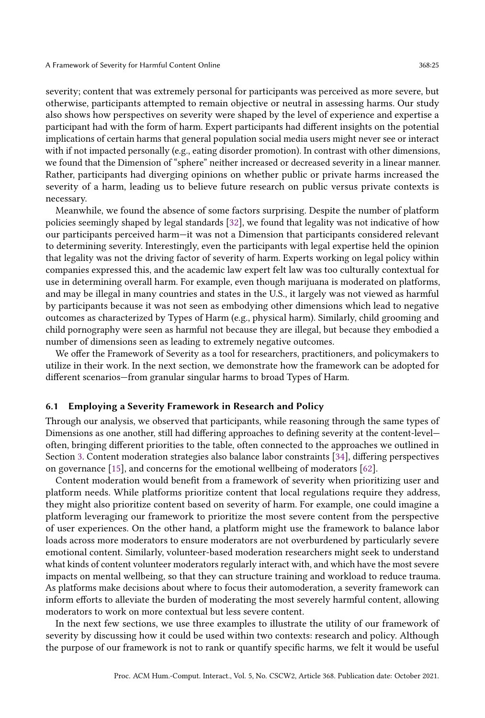severity; content that was extremely personal for participants was perceived as more severe, but otherwise, participants attempted to remain objective or neutral in assessing harms. Our study also shows how perspectives on severity were shaped by the level of experience and expertise a participant had with the form of harm. Expert participants had different insights on the potential implications of certain harms that general population social media users might never see or interact with if not impacted personally (e.g., eating disorder promotion). In contrast with other dimensions, we found that the Dimension of "sphere" neither increased or decreased severity in a linear manner. Rather, participants had diverging opinions on whether public or private harms increased the severity of a harm, leading us to believe future research on public versus private contexts is necessary.

Meanwhile, we found the absence of some factors surprising. Despite the number of platform policies seemingly shaped by legal standards [\[32\]](#page-30-6), we found that legality was not indicative of how our participants perceived harm—it was not a Dimension that participants considered relevant to determining severity. Interestingly, even the participants with legal expertise held the opinion that legality was not the driving factor of severity of harm. Experts working on legal policy within companies expressed this, and the academic law expert felt law was too culturally contextual for use in determining overall harm. For example, even though marijuana is moderated on platforms, and may be illegal in many countries and states in the U.S., it largely was not viewed as harmful by participants because it was not seen as embodying other dimensions which lead to negative outcomes as characterized by Types of Harm (e.g., physical harm). Similarly, child grooming and child pornography were seen as harmful not because they are illegal, but because they embodied a number of dimensions seen as leading to extremely negative outcomes.

We offer the Framework of Severity as a tool for researchers, practitioners, and policymakers to utilize in their work. In the next section, we demonstrate how the framework can be adopted for different scenarios—from granular singular harms to broad Types of Harm.

## 6.1 Employing a Severity Framework in Research and Policy

Through our analysis, we observed that participants, while reasoning through the same types of Dimensions as one another, still had differing approaches to defining severity at the content-level often, bringing different priorities to the table, often connected to the approaches we outlined in Section [3.](#page-5-0) Content moderation strategies also balance labor constraints [\[34\]](#page-30-7), differing perspectives on governance [\[15\]](#page-29-19), and concerns for the emotional wellbeing of moderators [\[62\]](#page-31-8).

Content moderation would benefit from a framework of severity when prioritizing user and platform needs. While platforms prioritize content that local regulations require they address, they might also prioritize content based on severity of harm. For example, one could imagine a platform leveraging our framework to prioritize the most severe content from the perspective of user experiences. On the other hand, a platform might use the framework to balance labor loads across more moderators to ensure moderators are not overburdened by particularly severe emotional content. Similarly, volunteer-based moderation researchers might seek to understand what kinds of content volunteer moderators regularly interact with, and which have the most severe impacts on mental wellbeing, so that they can structure training and workload to reduce trauma. As platforms make decisions about where to focus their automoderation, a severity framework can inform efforts to alleviate the burden of moderating the most severely harmful content, allowing moderators to work on more contextual but less severe content.

In the next few sections, we use three examples to illustrate the utility of our framework of severity by discussing how it could be used within two contexts: research and policy. Although the purpose of our framework is not to rank or quantify specific harms, we felt it would be useful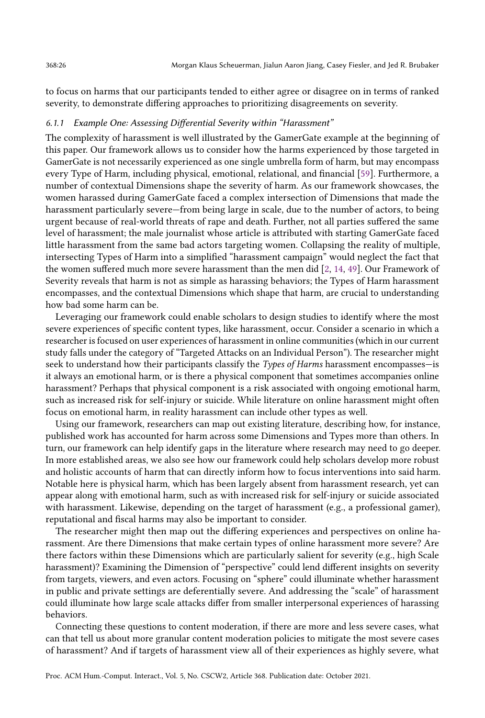to focus on harms that our participants tended to either agree or disagree on in terms of ranked severity, to demonstrate differing approaches to prioritizing disagreements on severity.

## 6.1.1 Example One: Assessing Differential Severity within "Harassment"

The complexity of harassment is well illustrated by the GamerGate example at the beginning of this paper. Our framework allows us to consider how the harms experienced by those targeted in GamerGate is not necessarily experienced as one single umbrella form of harm, but may encompass every Type of Harm, including physical, emotional, relational, and financial [\[59\]](#page-31-20). Furthermore, a number of contextual Dimensions shape the severity of harm. As our framework showcases, the women harassed during GamerGate faced a complex intersection of Dimensions that made the harassment particularly severe—from being large in scale, due to the number of actors, to being urgent because of real-world threats of rape and death. Further, not all parties suffered the same level of harassment; the male journalist whose article is attributed with starting GamerGate faced little harassment from the same bad actors targeting women. Collapsing the reality of multiple, intersecting Types of Harm into a simplified "harassment campaign" would neglect the fact that the women suffered much more severe harassment than the men did [\[2,](#page-29-0) [14,](#page-29-1) [49\]](#page-31-0). Our Framework of Severity reveals that harm is not as simple as harassing behaviors; the Types of Harm harassment encompasses, and the contextual Dimensions which shape that harm, are crucial to understanding how bad some harm can be.

Leveraging our framework could enable scholars to design studies to identify where the most severe experiences of specific content types, like harassment, occur. Consider a scenario in which a researcher is focused on user experiences of harassment in online communities (which in our current study falls under the category of "Targeted Attacks on an Individual Person"). The researcher might seek to understand how their participants classify the Types of Harms harassment encompasses—is it always an emotional harm, or is there a physical component that sometimes accompanies online harassment? Perhaps that physical component is a risk associated with ongoing emotional harm, such as increased risk for self-injury or suicide. While literature on online harassment might often focus on emotional harm, in reality harassment can include other types as well.

Using our framework, researchers can map out existing literature, describing how, for instance, published work has accounted for harm across some Dimensions and Types more than others. In turn, our framework can help identify gaps in the literature where research may need to go deeper. In more established areas, we also see how our framework could help scholars develop more robust and holistic accounts of harm that can directly inform how to focus interventions into said harm. Notable here is physical harm, which has been largely absent from harassment research, yet can appear along with emotional harm, such as with increased risk for self-injury or suicide associated with harassment. Likewise, depending on the target of harassment (e.g., a professional gamer), reputational and fiscal harms may also be important to consider.

The researcher might then map out the differing experiences and perspectives on online harassment. Are there Dimensions that make certain types of online harassment more severe? Are there factors within these Dimensions which are particularly salient for severity (e.g., high Scale harassment)? Examining the Dimension of "perspective" could lend different insights on severity from targets, viewers, and even actors. Focusing on "sphere" could illuminate whether harassment in public and private settings are deferentially severe. And addressing the "scale" of harassment could illuminate how large scale attacks differ from smaller interpersonal experiences of harassing behaviors.

Connecting these questions to content moderation, if there are more and less severe cases, what can that tell us about more granular content moderation policies to mitigate the most severe cases of harassment? And if targets of harassment view all of their experiences as highly severe, what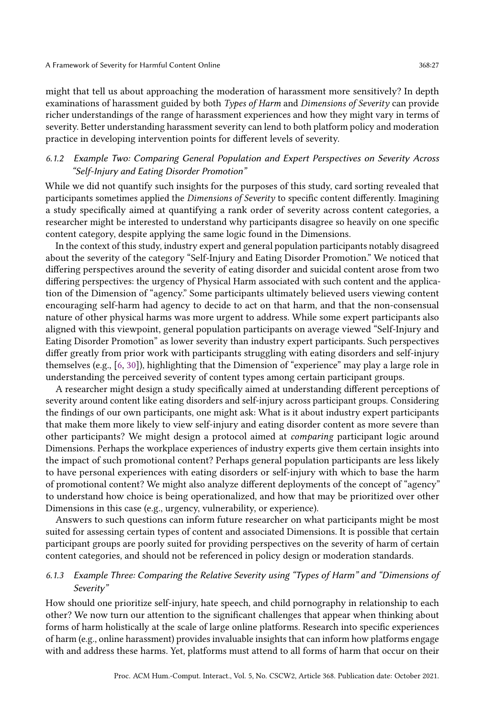might that tell us about approaching the moderation of harassment more sensitively? In depth examinations of harassment guided by both Types of Harm and Dimensions of Severity can provide richer understandings of the range of harassment experiences and how they might vary in terms of severity. Better understanding harassment severity can lend to both platform policy and moderation practice in developing intervention points for different levels of severity.

## <span id="page-26-0"></span>6.1.2 Example Two: Comparing General Population and Expert Perspectives on Severity Across "Self-Injury and Eating Disorder Promotion"

While we did not quantify such insights for the purposes of this study, card sorting revealed that participants sometimes applied the Dimensions of Severity to specific content differently. Imagining a study specifically aimed at quantifying a rank order of severity across content categories, a researcher might be interested to understand why participants disagree so heavily on one specific content category, despite applying the same logic found in the Dimensions.

In the context of this study, industry expert and general population participants notably disagreed about the severity of the category "Self-Injury and Eating Disorder Promotion." We noticed that differing perspectives around the severity of eating disorder and suicidal content arose from two differing perspectives: the urgency of Physical Harm associated with such content and the application of the Dimension of "agency." Some participants ultimately believed users viewing content encouraging self-harm had agency to decide to act on that harm, and that the non-consensual nature of other physical harms was more urgent to address. While some expert participants also aligned with this viewpoint, general population participants on average viewed "Self-Injury and Eating Disorder Promotion" as lower severity than industry expert participants. Such perspectives differ greatly from prior work with participants struggling with eating disorders and self-injury themselves (e.g., [\[6,](#page-29-20) [30\]](#page-30-10)), highlighting that the Dimension of "experience" may play a large role in understanding the perceived severity of content types among certain participant groups.

A researcher might design a study specifically aimed at understanding different perceptions of severity around content like eating disorders and self-injury across participant groups. Considering the findings of our own participants, one might ask: What is it about industry expert participants that make them more likely to view self-injury and eating disorder content as more severe than other participants? We might design a protocol aimed at comparing participant logic around Dimensions. Perhaps the workplace experiences of industry experts give them certain insights into the impact of such promotional content? Perhaps general population participants are less likely to have personal experiences with eating disorders or self-injury with which to base the harm of promotional content? We might also analyze different deployments of the concept of "agency" to understand how choice is being operationalized, and how that may be prioritized over other Dimensions in this case (e.g., urgency, vulnerability, or experience).

Answers to such questions can inform future researcher on what participants might be most suited for assessing certain types of content and associated Dimensions. It is possible that certain participant groups are poorly suited for providing perspectives on the severity of harm of certain content categories, and should not be referenced in policy design or moderation standards.

# 6.1.3 Example Three: Comparing the Relative Severity using "Types of Harm" and "Dimensions of Severity"

How should one prioritize self-injury, hate speech, and child pornography in relationship to each other? We now turn our attention to the significant challenges that appear when thinking about forms of harm holistically at the scale of large online platforms. Research into specific experiences of harm (e.g., online harassment) provides invaluable insights that can inform how platforms engage with and address these harms. Yet, platforms must attend to all forms of harm that occur on their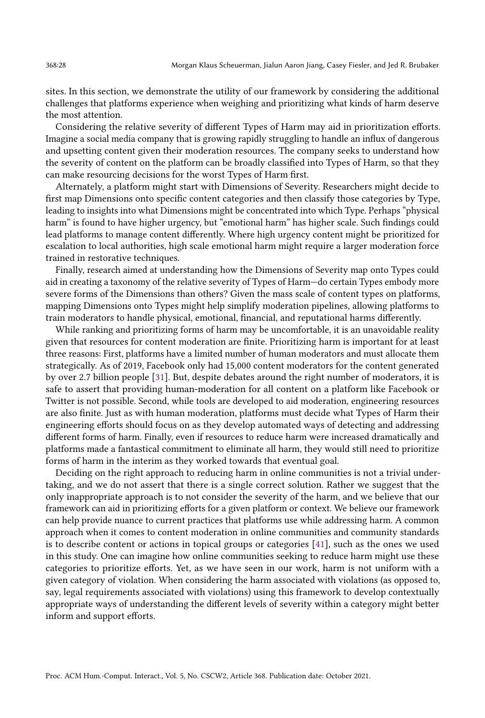sites. In this section, we demonstrate the utility of our framework by considering the additional challenges that platforms experience when weighing and prioritizing what kinds of harm deserve the most attention.

Considering the relative severity of different Types of Harm may aid in prioritization efforts. Imagine a social media company that is growing rapidly struggling to handle an influx of dangerous and upsetting content given their moderation resources. The company seeks to understand how the severity of content on the platform can be broadly classified into Types of Harm, so that they can make resourcing decisions for the worst Types of Harm first.

Alternately, a platform might start with Dimensions of Severity. Researchers might decide to first map Dimensions onto specific content categories and then classify those categories by Type, leading to insights into what Dimensions might be concentrated into which Type. Perhaps "physical harm" is found to have higher urgency, but "emotional harm" has higher scale. Such findings could lead platforms to manage content differently. Where high urgency content might be prioritized for escalation to local authorities, high scale emotional harm might require a larger moderation force trained in restorative techniques.

Finally, research aimed at understanding how the Dimensions of Severity map onto Types could aid in creating a taxonomy of the relative severity of Types of Harm—do certain Types embody more severe forms of the Dimensions than others? Given the mass scale of content types on platforms, mapping Dimensions onto Types might help simplify moderation pipelines, allowing platforms to train moderators to handle physical, emotional, financial, and reputational harms differently.

While ranking and prioritizing forms of harm may be uncomfortable, it is an unavoidable reality given that resources for content moderation are finite. Prioritizing harm is important for at least three reasons: First, platforms have a limited number of human moderators and must allocate them strategically. As of 2019, Facebook only had 15,000 content moderators for the content generated by over 2.7 billion people [\[31\]](#page-30-20). But, despite debates around the right number of moderators, it is safe to assert that providing human-moderation for all content on a platform like Facebook or Twitter is not possible. Second, while tools are developed to aid moderation, engineering resources are also finite. Just as with human moderation, platforms must decide what Types of Harm their engineering efforts should focus on as they develop automated ways of detecting and addressing different forms of harm. Finally, even if resources to reduce harm were increased dramatically and platforms made a fantastical commitment to eliminate all harm, they would still need to prioritize forms of harm in the interim as they worked towards that eventual goal.

Deciding on the right approach to reducing harm in online communities is not a trivial undertaking, and we do not assert that there is a single correct solution. Rather we suggest that the only inappropriate approach is to not consider the severity of the harm, and we believe that our framework can aid in prioritizing efforts for a given platform or context. We believe our framework can help provide nuance to current practices that platforms use while addressing harm. A common approach when it comes to content moderation in online communities and community standards is to describe content or actions in topical groups or categories [\[41\]](#page-30-18), such as the ones we used in this study. One can imagine how online communities seeking to reduce harm might use these categories to prioritize efforts. Yet, as we have seen in our work, harm is not uniform with a given category of violation. When considering the harm associated with violations (as opposed to, say, legal requirements associated with violations) using this framework to develop contextually appropriate ways of understanding the different levels of severity within a category might better inform and support efforts.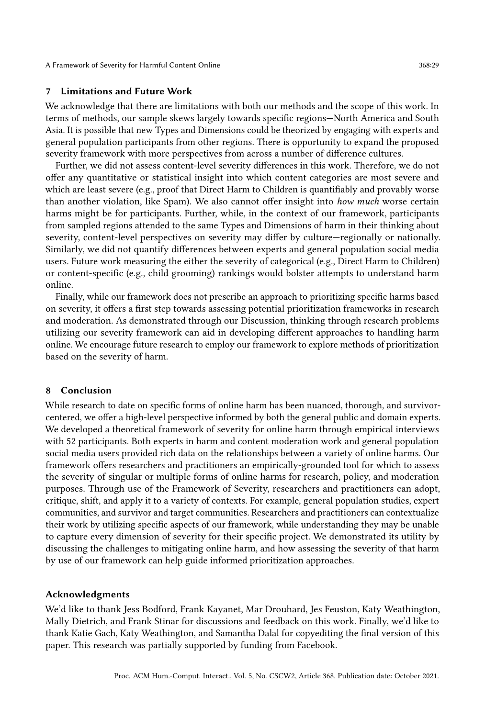A Framework of Severity for Harmful Content Online 368:29

## 7 Limitations and Future Work

We acknowledge that there are limitations with both our methods and the scope of this work. In terms of methods, our sample skews largely towards specific regions—North America and South Asia. It is possible that new Types and Dimensions could be theorized by engaging with experts and general population participants from other regions. There is opportunity to expand the proposed severity framework with more perspectives from across a number of difference cultures.

Further, we did not assess content-level severity differences in this work. Therefore, we do not offer any quantitative or statistical insight into which content categories are most severe and which are least severe (e.g., proof that Direct Harm to Children is quantifiably and provably worse than another violation, like Spam). We also cannot offer insight into how much worse certain harms might be for participants. Further, while, in the context of our framework, participants from sampled regions attended to the same Types and Dimensions of harm in their thinking about severity, content-level perspectives on severity may differ by culture—regionally or nationally. Similarly, we did not quantify differences between experts and general population social media users. Future work measuring the either the severity of categorical (e.g., Direct Harm to Children) or content-specific (e.g., child grooming) rankings would bolster attempts to understand harm online.

Finally, while our framework does not prescribe an approach to prioritizing specific harms based on severity, it offers a first step towards assessing potential prioritization frameworks in research and moderation. As demonstrated through our Discussion, thinking through research problems utilizing our severity framework can aid in developing different approaches to handling harm online. We encourage future research to employ our framework to explore methods of prioritization based on the severity of harm.

## 8 Conclusion

While research to date on specific forms of online harm has been nuanced, thorough, and survivorcentered, we offer a high-level perspective informed by both the general public and domain experts. We developed a theoretical framework of severity for online harm through empirical interviews with 52 participants. Both experts in harm and content moderation work and general population social media users provided rich data on the relationships between a variety of online harms. Our framework offers researchers and practitioners an empirically-grounded tool for which to assess the severity of singular or multiple forms of online harms for research, policy, and moderation purposes. Through use of the Framework of Severity, researchers and practitioners can adopt, critique, shift, and apply it to a variety of contexts. For example, general population studies, expert communities, and survivor and target communities. Researchers and practitioners can contextualize their work by utilizing specific aspects of our framework, while understanding they may be unable to capture every dimension of severity for their specific project. We demonstrated its utility by discussing the challenges to mitigating online harm, and how assessing the severity of that harm by use of our framework can help guide informed prioritization approaches.

#### Acknowledgments

We'd like to thank Jess Bodford, Frank Kayanet, Mar Drouhard, Jes Feuston, Katy Weathington, Mally Dietrich, and Frank Stinar for discussions and feedback on this work. Finally, we'd like to thank Katie Gach, Katy Weathington, and Samantha Dalal for copyediting the final version of this paper. This research was partially supported by funding from Facebook.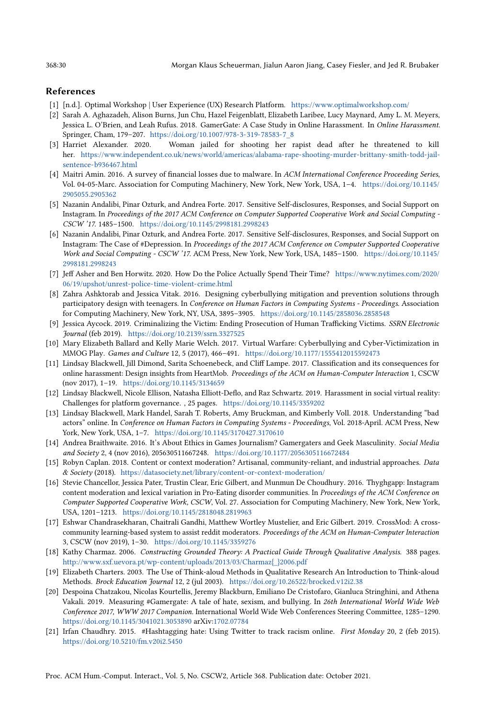#### References

- <span id="page-29-18"></span>[1] [n.d.]. Optimal Workshop | User Experience (UX) Research Platform. <https://www.optimalworkshop.com/>
- <span id="page-29-0"></span>[2] Sarah A. Aghazadeh, Alison Burns, Jun Chu, Hazel Feigenblatt, Elizabeth Laribee, Lucy Maynard, Amy L. M. Meyers, Jessica L. O'Brien, and Leah Rufus. 2018. GamerGate: A Case Study in Online Harassment. In Online Harassment. Springer, Cham, 179–207. [https://doi.org/10.1007/978-3-319-78583-7\\_8](https://doi.org/10.1007/978-3-319-78583-7_8)
- <span id="page-29-14"></span>[3] Harriet Alexander. 2020. Woman jailed for shooting her rapist dead after he threatened to kill her. [https://www.independent.co.uk/news/world/americas/alabama-rape-shooting-murder-brittany-smith-todd-jail](https://www.independent.co.uk/news/world/americas/alabama-rape-shooting-murder-brittany-smith-todd-jail-sentence-b936467.html)[sentence-b936467.html](https://www.independent.co.uk/news/world/americas/alabama-rape-shooting-murder-brittany-smith-todd-jail-sentence-b936467.html)
- <span id="page-29-5"></span>[4] Maitri Amin. 2016. A survey of financial losses due to malware. In ACM International Conference Proceeding Series, Vol. 04-05-Marc. Association for Computing Machinery, New York, New York, USA, 1–4. [https://doi.org/10.1145/](https://doi.org/10.1145/2905055.2905362) [2905055.2905362](https://doi.org/10.1145/2905055.2905362)
- <span id="page-29-10"></span>[5] Nazanin Andalibi, Pinar Ozturk, and Andrea Forte. 2017. Sensitive Self-disclosures, Responses, and Social Support on Instagram. In Proceedings of the 2017 ACM Conference on Computer Supported Cooperative Work and Social Computing - CSCW '17. 1485–1500. <https://doi.org/10.1145/2998181.2998243>
- <span id="page-29-20"></span>[6] Nazanin Andalibi, Pinar Ozturk, and Andrea Forte. 2017. Sensitive Self-disclosures, Responses, and Social Support on Instagram: The Case of #Depression. In Proceedings of the 2017 ACM Conference on Computer Supported Cooperative Work and Social Computing - CSCW '17. ACM Press, New York, New York, USA, 1485–1500. [https://doi.org/10.1145/](https://doi.org/10.1145/2998181.2998243) [2998181.2998243](https://doi.org/10.1145/2998181.2998243)
- <span id="page-29-13"></span>[7] Jeff Asher and Ben Horwitz. 2020. How Do the Police Actually Spend Their Time? [https://www.nytimes.com/2020/](https://www.nytimes.com/2020/06/19/upshot/unrest-police-time-violent-crime.html) [06/19/upshot/unrest-police-time-violent-crime.html](https://www.nytimes.com/2020/06/19/upshot/unrest-police-time-violent-crime.html)
- <span id="page-29-3"></span>[8] Zahra Ashktorab and Jessica Vitak. 2016. Designing cyberbullying mitigation and prevention solutions through participatory design with teenagers. In Conference on Human Factors in Computing Systems - Proceedings. Association for Computing Machinery, New York, NY, USA, 3895–3905. <https://doi.org/10.1145/2858036.2858548>
- <span id="page-29-15"></span>[9] Jessica Aycock. 2019. Criminalizing the Victim: Ending Prosecution of Human Trafficking Victims. SSRN Electronic Journal (feb 2019). <https://doi.org/10.2139/ssrn.3327525>
- <span id="page-29-7"></span>[10] Mary Elizabeth Ballard and Kelly Marie Welch. 2017. Virtual Warfare: Cyberbullying and Cyber-Victimization in MMOG Play. Games and Culture 12, 5 (2017), 466–491. <https://doi.org/10.1177/1555412015592473>
- <span id="page-29-11"></span>[11] Lindsay Blackwell, Jill Dimond, Sarita Schoenebeck, and Cliff Lampe. 2017. Classification and its consequences for online harassment: Design insights from HeartMob. Proceedings of the ACM on Human-Computer Interaction 1, CSCW (nov 2017), 1–19. <https://doi.org/10.1145/3134659>
- <span id="page-29-2"></span>[12] Lindsay Blackwell, Nicole Ellison, Natasha Elliott-Deflo, and Raz Schwartz. 2019. Harassment in social virtual reality: Challenges for platform governance. , 25 pages. <https://doi.org/10.1145/3359202>
- <span id="page-29-6"></span>[13] Lindsay Blackwell, Mark Handel, Sarah T. Roberts, Amy Bruckman, and Kimberly Voll. 2018. Understanding "bad actors" online. In Conference on Human Factors in Computing Systems - Proceedings, Vol. 2018-April. ACM Press, New York, New York, USA, 1–7. <https://doi.org/10.1145/3170427.3170610>
- <span id="page-29-1"></span>[14] Andrea Braithwaite. 2016. It's About Ethics in Games Journalism? Gamergaters and Geek Masculinity. Social Media and Society 2, 4 (nov 2016), 205630511667248. <https://doi.org/10.1177/2056305116672484>
- <span id="page-29-19"></span>[15] Robyn Caplan. 2018. Content or context moderation? Artisanal, community-reliant, and industrial approaches. Data & Society (2018). <https://datasociety.net/library/content-or-context-moderation/>
- <span id="page-29-4"></span>[16] Stevie Chancellor, Jessica Pater, Trustin Clear, Eric Gilbert, and Munmun De Choudhury. 2016. Thyghgapp: Instagram content moderation and lexical variation in Pro-Eating disorder communities. In Proceedings of the ACM Conference on Computer Supported Cooperative Work, CSCW, Vol. 27. Association for Computing Machinery, New York, New York, USA, 1201–1213. <https://doi.org/10.1145/2818048.2819963>
- <span id="page-29-12"></span>[17] Eshwar Chandrasekharan, Chaitrali Gandhi, Matthew Wortley Mustelier, and Eric Gilbert. 2019. CrossMod: A crosscommunity learning-based system to assist reddit moderators. Proceedings of the ACM on Human-Computer Interaction 3, CSCW (nov 2019), 1–30. <https://doi.org/10.1145/3359276>
- <span id="page-29-16"></span>[18] Kathy Charmaz. 2006. Constructing Grounded Theory: A Practical Guide Through Qualitative Analysis. 388 pages. [http://www.sxf.uevora.pt/wp-content/uploads/2013/03/Charmaz{\\_}2006.pdf](http://www.sxf.uevora.pt/wp-content/uploads/2013/03/Charmaz{_}2006.pdf)
- <span id="page-29-17"></span>[19] Elizabeth Charters. 2003. The Use of Think-aloud Methods in Qualitative Research An Introduction to Think-aloud Methods. Brock Education Journal 12, 2 (jul 2003). <https://doi.org/10.26522/brocked.v12i2.38>
- <span id="page-29-8"></span>[20] Despoina Chatzakou, Nicolas Kourtellis, Jeremy Blackburn, Emiliano De Cristofaro, Gianluca Stringhini, and Athena Vakali. 2019. Measuring #Gamergate: A tale of hate, sexism, and bullying. In 26th International World Wide Web Conference 2017, WWW 2017 Companion. International World Wide Web Conferences Steering Committee, 1285–1290. <https://doi.org/10.1145/3041021.3053890> arXiv[:1702.07784](http://arxiv.org/abs/1702.07784)
- <span id="page-29-9"></span>[21] Irfan Chaudhry. 2015. #Hashtagging hate: Using Twitter to track racism online. First Monday 20, 2 (feb 2015). <https://doi.org/10.5210/fm.v20i2.5450>

Proc. ACM Hum.-Comput. Interact., Vol. 5, No. CSCW2, Article 368. Publication date: October 2021.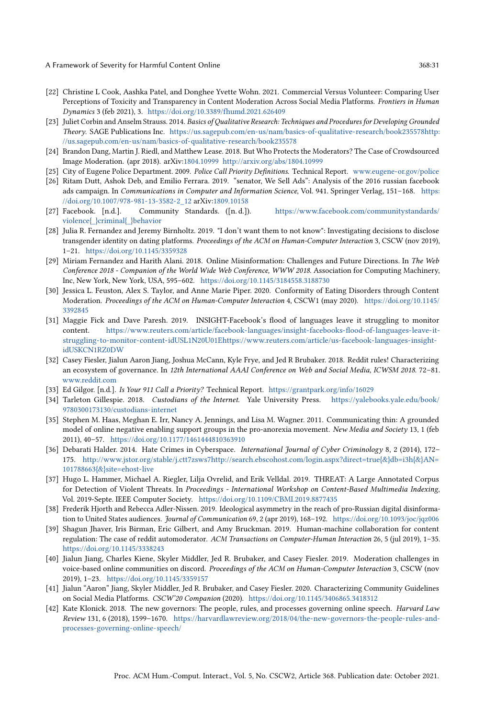A Framework of Severity for Harmful Content Online 368:31

- <span id="page-30-11"></span>[22] Christine L Cook, Aashka Patel, and Donghee Yvette Wohn. 2021. Commercial Versus Volunteer: Comparing User Perceptions of Toxicity and Transparency in Content Moderation Across Social Media Platforms. Frontiers in Human Dynamics 3 (feb 2021), 3. <https://doi.org/10.3389/fhumd.2021.626409>
- <span id="page-30-17"></span>[23] Juliet Corbin and Anselm Strauss. 2014. Basics of Qualitative Research: Techniques and Procedures for Developing Grounded Theory. SAGE Publications Inc. [https://us.sagepub.com/en-us/nam/basics-of-qualitative-research/book235578http:](https://us.sagepub.com/en-us/nam/basics-of-qualitative-research/book235578 http://us.sagepub.com/en-us/nam/basics-of-qualitative-research/book235578) [//us.sagepub.com/en-us/nam/basics-of-qualitative-research/book235578](https://us.sagepub.com/en-us/nam/basics-of-qualitative-research/book235578 http://us.sagepub.com/en-us/nam/basics-of-qualitative-research/book235578)
- <span id="page-30-13"></span>[24] Brandon Dang, Martin J. Riedl, and Matthew Lease. 2018. But Who Protects the Moderators? The Case of Crowdsourced Image Moderation. (apr 2018). arXiv[:1804.10999](http://arxiv.org/abs/1804.10999) <http://arxiv.org/abs/1804.10999>
- <span id="page-30-15"></span>[25] City of Eugene Police Department. 2009. Police Call Priority Definitions. Technical Report. <www.eugene-or.gov/police>
- <span id="page-30-3"></span>[26] Ritam Dutt, Ashok Deb, and Emilio Ferrara. 2019. "senator, We Sell Ads": Analysis of the 2016 russian facebook ads campaign. In Communications in Computer and Information Science, Vol. 941. Springer Verlag, 151-168. [https:](https://doi.org/10.1007/978-981-13-3582-2_12) [//doi.org/10.1007/978-981-13-3582-2\\_12](https://doi.org/10.1007/978-981-13-3582-2_12) arXiv[:1809.10158](http://arxiv.org/abs/1809.10158)
- <span id="page-30-19"></span>[27] Facebook. [n.d.]. Community Standards. ([n. d.]). [https://www.facebook.com/communitystandards/](https://www.facebook.com/communitystandards/violence{_}criminal{_}behavior) [violence{\\_}criminal{\\_}behavior](https://www.facebook.com/communitystandards/violence{_}criminal{_}behavior)
- <span id="page-30-4"></span>[28] Julia R. Fernandez and Jeremy Birnholtz. 2019. "I don't want them to not know": Investigating decisions to disclose transgender identity on dating platforms. Proceedings of the ACM on Human-Computer Interaction 3, CSCW (nov 2019), 1–21. <https://doi.org/10.1145/3359328>
- <span id="page-30-1"></span>[29] Miriam Fernandez and Harith Alani. 2018. Online Misinformation: Challenges and Future Directions. In The Web Conference 2018 - Companion of the World Wide Web Conference, WWW 2018. Association for Computing Machinery, Inc, New York, New York, USA, 595–602. <https://doi.org/10.1145/3184558.3188730>
- <span id="page-30-10"></span>[30] Jessica L. Feuston, Alex S. Taylor, and Anne Marie Piper. 2020. Conformity of Eating Disorders through Content Moderation. Proceedings of the ACM on Human-Computer Interaction 4, CSCW1 (may 2020). [https://doi.org/10.1145/](https://doi.org/10.1145/3392845) [3392845](https://doi.org/10.1145/3392845)
- <span id="page-30-20"></span>[31] Maggie Fick and Dave Paresh. 2019. INSIGHT-Facebook's flood of languages leave it struggling to monitor content. [https://www.reuters.com/article/facebook-languages/insight-facebooks-flood-of-languages-leave-it](https://www.reuters.com/article/facebook-languages/insight-facebooks-flood-of-languages-leave-it-struggling-to-monitor-content-idUSL1N20U01E https://www.reuters.com/article/us-facebook-languages-insight-idUSKCN1RZ0DW)[struggling-to-monitor-content-idUSL1N20U01Ehttps://www.reuters.com/article/us-facebook-languages-insight](https://www.reuters.com/article/facebook-languages/insight-facebooks-flood-of-languages-leave-it-struggling-to-monitor-content-idUSL1N20U01E https://www.reuters.com/article/us-facebook-languages-insight-idUSKCN1RZ0DW)[idUSKCN1RZ0DW](https://www.reuters.com/article/facebook-languages/insight-facebooks-flood-of-languages-leave-it-struggling-to-monitor-content-idUSL1N20U01E https://www.reuters.com/article/us-facebook-languages-insight-idUSKCN1RZ0DW)
- <span id="page-30-6"></span>[32] Casey Fiesler, Jialun Aaron Jiang, Joshua McCann, Kyle Frye, and Jed R Brubaker. 2018. Reddit rules! Characterizing an ecosystem of governance. In 12th International AAAI Conference on Web and Social Media, ICWSM 2018. 72–81. <www.reddit.com>
- <span id="page-30-16"></span>[33] Ed Gilgor. [n.d.]. Is Your 911 Call a Priority? Technical Report. <https://grantpark.org/info/16029>
- <span id="page-30-7"></span>[34] Tarleton Gillespie. 2018. Custodians of the Internet. Yale University Press. [https://yalebooks.yale.edu/book/](https://yalebooks.yale.edu/book/9780300173130/custodians-internet) [9780300173130/custodians-internet](https://yalebooks.yale.edu/book/9780300173130/custodians-internet)
- <span id="page-30-5"></span>[35] Stephen M. Haas, Meghan E. Irr, Nancy A. Jennings, and Lisa M. Wagner. 2011. Communicating thin: A grounded model of online negative enabling support groups in the pro-anorexia movement. New Media and Society 13, 1 (feb 2011), 40–57. <https://doi.org/10.1177/1461444810363910>
- <span id="page-30-0"></span>[36] Debarati Halder. 2014. Hate Crimes in Cyberspace. International Journal of Cyber Criminology 8, 2 (2014), 172– 175. [http://www.jstor.org/stable/j.ctt7zsws7http://search.ebscohost.com/login.aspx?direct=true{&}db=i3h{&}AN=](http://www.jstor.org/stable/j.ctt7zsws7 http://search.ebscohost.com/login.aspx?direct=true{&}db=i3h{&}AN=101788663{&}site=ehost-live) [101788663{&}site=ehost-live](http://www.jstor.org/stable/j.ctt7zsws7 http://search.ebscohost.com/login.aspx?direct=true{&}db=i3h{&}AN=101788663{&}site=ehost-live)
- <span id="page-30-14"></span>[37] Hugo L. Hammer, Michael A. Riegler, Lilja Ovrelid, and Erik Velldal. 2019. THREAT: A Large Annotated Corpus for Detection of Violent Threats. In Proceedings - International Workshop on Content-Based Multimedia Indexing, Vol. 2019-Septe. IEEE Computer Society. <https://doi.org/10.1109/CBMI.2019.8877435>
- <span id="page-30-2"></span>[38] Frederik Hjorth and Rebecca Adler-Nissen. 2019. Ideological asymmetry in the reach of pro-Russian digital disinformation to United States audiences. Journal of Communication 69, 2 (apr 2019), 168-192. <https://doi.org/10.1093/joc/jqz006>
- <span id="page-30-12"></span>[39] Shagun Jhaver, Iris Birman, Eric Gilbert, and Amy Bruckman. 2019. Human-machine collaboration for content regulation: The case of reddit automoderator. ACM Transactions on Computer-Human Interaction 26, 5 (jul 2019), 1–35. <https://doi.org/10.1145/3338243>
- <span id="page-30-8"></span>[40] Jialun Jiang, Charles Kiene, Skyler Middler, Jed R. Brubaker, and Casey Fiesler. 2019. Moderation challenges in voice-based online communities on discord. Proceedings of the ACM on Human-Computer Interaction 3, CSCW (nov 2019), 1–23. <https://doi.org/10.1145/3359157>
- <span id="page-30-18"></span>[41] Jialun "Aaron" Jiang, Skyler Middler, Jed R. Brubaker, and Casey Fiesler. 2020. Characterizing Community Guidelines on Social Media Platforms. CSCW'20 Companion (2020). <https://doi.org/10.1145/3406865.3418312>
- <span id="page-30-9"></span>[42] Kate Klonick. 2018. The new governors: The people, rules, and processes governing online speech. Harvard Law Review 131, 6 (2018), 1599–1670. [https://harvardlawreview.org/2018/04/the-new-governors-the-people-rules-and](https://harvardlawreview.org/2018/04/the-new-governors-the-people-rules-and-processes-governing-online-speech/)[processes-governing-online-speech/](https://harvardlawreview.org/2018/04/the-new-governors-the-people-rules-and-processes-governing-online-speech/)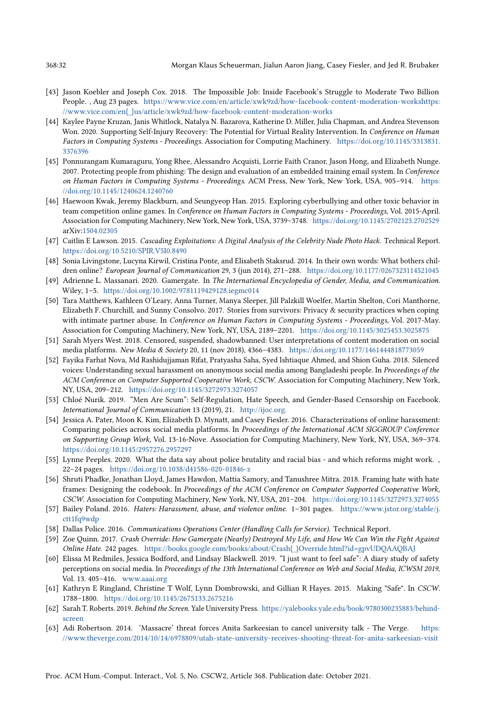- <span id="page-31-7"></span>[43] Jason Koebler and Joseph Cox. 2018. The Impossible Job: Inside Facebook's Struggle to Moderate Two Billion People. , Aug 23 pages. [https://www.vice.com/en/article/xwk9zd/how-facebook-content-moderation-workshttps:](https://www.vice.com/en/article/xwk9zd/how-facebook-content-moderation-works https://www.vice.com/en{_}us/article/xwk9zd/how-facebook-content-moderation-works) [//www.vice.com/en{\\_}us/article/xwk9zd/how-facebook-content-moderation-works](https://www.vice.com/en/article/xwk9zd/how-facebook-content-moderation-works https://www.vice.com/en{_}us/article/xwk9zd/how-facebook-content-moderation-works)
- <span id="page-31-6"></span>[44] Kaylee Payne Kruzan, Janis Whitlock, Natalya N. Bazarova, Katherine D. Miller, Julia Chapman, and Andrea Stevenson Won. 2020. Supporting Self-Injury Recovery: The Potential for Virtual Reality Intervention. In Conference on Human Factors in Computing Systems - Proceedings. Association for Computing Machinery. [https://doi.org/10.1145/3313831.](https://doi.org/10.1145/3313831.3376396) [3376396](https://doi.org/10.1145/3313831.3376396)
- <span id="page-31-10"></span>[45] Ponnurangam Kumaraguru, Yong Rhee, Alessandro Acquisti, Lorrie Faith Cranor, Jason Hong, and Elizabeth Nunge. 2007. Protecting people from phishing: The design and evaluation of an embedded training email system. In Conference on Human Factors in Computing Systems - Proceedings. ACM Press, New York, New York, USA, 905–914. [https:](https://doi.org/10.1145/1240624.1240760) [//doi.org/10.1145/1240624.1240760](https://doi.org/10.1145/1240624.1240760)
- <span id="page-31-5"></span>[46] Haewoon Kwak, Jeremy Blackburn, and Seungyeop Han. 2015. Exploring cyberbullying and other toxic behavior in team competition online games. In Conference on Human Factors in Computing Systems - Proceedings, Vol. 2015-April. Association for Computing Machinery, New York, New York, USA, 3739–3748. <https://doi.org/10.1145/2702123.2702529> arXiv[:1504.02305](http://arxiv.org/abs/1504.02305)
- <span id="page-31-12"></span>[47] Caitlin E Lawson. 2015. Cascading Exploitations: A Digital Analysis of the Celebrity Nude Photo Hack. Technical Report. <https://doi.org/10.5210/SPIR.V5I0.8490>
- <span id="page-31-2"></span>[48] Sonia Livingstone, Lucyna Kirwil, Cristina Ponte, and Elisabeth Staksrud. 2014. In their own words: What bothers children online? European Journal of Communication 29, 3 (jun 2014), 271–288. <https://doi.org/10.1177/0267323114521045>
- <span id="page-31-0"></span>[49] Adrienne L. Massanari. 2020. Gamergate. In The International Encyclopedia of Gender, Media, and Communication. Wiley, 1–5. <https://doi.org/10.1002/9781119429128.iegmc014>
- <span id="page-31-11"></span>[50] Tara Matthews, Kathleen O'Leary, Anna Turner, Manya Sleeper, Jill Palzkill Woelfer, Martin Shelton, Cori Manthorne, Elizabeth F. Churchill, and Sunny Consolvo. 2017. Stories from survivors: Privacy & security practices when coping with intimate partner abuse. In Conference on Human Factors in Computing Systems - Proceedings, Vol. 2017-May. Association for Computing Machinery, New York, NY, USA, 2189–2201. <https://doi.org/10.1145/3025453.3025875>
- <span id="page-31-16"></span>[51] Sarah Myers West. 2018. Censored, suspended, shadowbanned: User interpretations of content moderation on social media platforms. New Media & Society 20, 11 (nov 2018), 4366–4383. <https://doi.org/10.1177/1461444818773059>
- <span id="page-31-3"></span>[52] Fayika Farhat Nova, Md Rashidujjaman Rifat, Pratyasha Saha, Syed Ishtiaque Ahmed, and Shion Guha. 2018. Silenced voices: Understanding sexual harassment on anonymous social media among Bangladeshi people. In Proceedings of the ACM Conference on Computer Supported Cooperative Work, CSCW. Association for Computing Machinery, New York, NY, USA, 209–212. <https://doi.org/10.1145/3272973.3274057>
- <span id="page-31-17"></span>[53] Chloé Nurik. 2019. "Men Are Scum": Self-Regulation, Hate Speech, and Gender-Based Censorship on Facebook. International Journal of Communication 13 (2019), 21. <http://ijoc.org.>
- <span id="page-31-4"></span>[54] Jessica A. Pater, Moon K. Kim, Elizabeth D. Mynatt, and Casey Fiesler. 2016. Characterizations of online harassment: Comparing policies across social media platforms. In Proceedings of the International ACM SIGGROUP Conference on Supporting Group Work, Vol. 13-16-Nove. Association for Computing Machinery, New York, NY, USA, 369–374. <https://doi.org/10.1145/2957276.2957297>
- <span id="page-31-19"></span>[55] Lynne Peeples. 2020. What the data say about police brutality and racial bias - and which reforms might work. , 22–24 pages. <https://doi.org/10.1038/d41586-020-01846-z>
- <span id="page-31-15"></span>[56] Shruti Phadke, Jonathan Lloyd, James Hawdon, Mattia Samory, and Tanushree Mitra. 2018. Framing hate with hate frames: Designing the codebook. In Proceedings of the ACM Conference on Computer Supported Cooperative Work, CSCW. Association for Computing Machinery, New York, NY, USA, 201–204. <https://doi.org/10.1145/3272973.3274055>
- <span id="page-31-13"></span>[57] Bailey Poland. 2016. Haters: Harassment, abuse, and violence online. 1–301 pages. [https://www.jstor.org/stable/j.](https://www.jstor.org/stable/j.ctt1fq9wdp) [ctt1fq9wdp](https://www.jstor.org/stable/j.ctt1fq9wdp)
- <span id="page-31-18"></span>[58] Dallas Police. 2016. Communications Operations Center (Handling Calls for Service). Technical Report.
- <span id="page-31-20"></span>[59] Zoe Quinn. 2017. Crash Override: How Gamergate (Nearly) Destroyed My Life, and How We Can Win the Fight Against Online Hate. 242 pages. [https://books.google.com/books/about/Crash{\\_}Override.html?id=gpvUDQAAQBAJ](https://books.google.com/books/about/Crash{_}Override.html?id=gpvUDQAAQBAJ)
- <span id="page-31-9"></span>[60] Elissa M Redmiles, Jessica Bodford, and Lindsay Blackwell. 2019. "I just want to feel safe": A diary study of safety perceptions on social media. In Proceedings of the 13th International Conference on Web and Social Media, ICWSM 2019, Vol. 13. 405–416. <www.aaai.org>
- <span id="page-31-14"></span>[61] Kathryn E Ringland, Christine T Wolf, Lynn Dombrowski, and Gillian R Hayes. 2015. Making "Safe". In CSCW. 1788–1800. <https://doi.org/10.1145/2675133.2675216>
- <span id="page-31-8"></span>[62] Sarah T. Roberts. 2019. Behind the Screen. Yale University Press. [https://yalebooks.yale.edu/book/9780300235883/behind](https://yalebooks.yale.edu/book/9780300235883/behind-screen)[screen](https://yalebooks.yale.edu/book/9780300235883/behind-screen)
- <span id="page-31-1"></span>[63] Adi Robertson. 2014. 'Massacre' threat forces Anita Sarkeesian to cancel university talk - The Verge. [https:](https://www.theverge.com/2014/10/14/6978809/utah-state-university-receives-shooting-threat-for-anita-sarkeesian-visit) [//www.theverge.com/2014/10/14/6978809/utah-state-university-receives-shooting-threat-for-anita-sarkeesian-visit](https://www.theverge.com/2014/10/14/6978809/utah-state-university-receives-shooting-threat-for-anita-sarkeesian-visit)